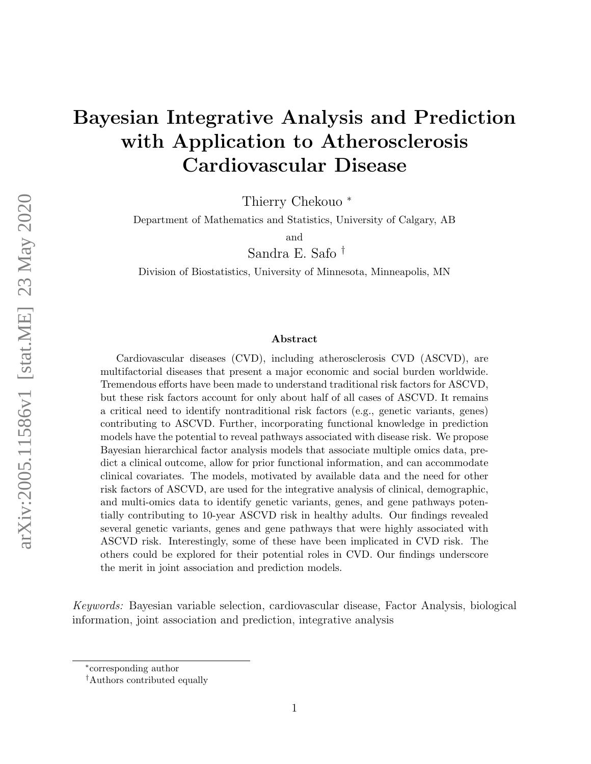# Bayesian Integrative Analysis and Prediction with Application to Atherosclerosis Cardiovascular Disease

Thierry Chekouo <sup>∗</sup>

Department of Mathematics and Statistics, University of Calgary, AB

and

Sandra E. Safo †

Division of Biostatistics, University of Minnesota, Minneapolis, MN

#### Abstract

Cardiovascular diseases (CVD), including atherosclerosis CVD (ASCVD), are multifactorial diseases that present a major economic and social burden worldwide. Tremendous efforts have been made to understand traditional risk factors for ASCVD, but these risk factors account for only about half of all cases of ASCVD. It remains a critical need to identify nontraditional risk factors (e.g., genetic variants, genes) contributing to ASCVD. Further, incorporating functional knowledge in prediction models have the potential to reveal pathways associated with disease risk. We propose Bayesian hierarchical factor analysis models that associate multiple omics data, predict a clinical outcome, allow for prior functional information, and can accommodate clinical covariates. The models, motivated by available data and the need for other risk factors of ASCVD, are used for the integrative analysis of clinical, demographic, and multi-omics data to identify genetic variants, genes, and gene pathways potentially contributing to 10-year ASCVD risk in healthy adults. Our findings revealed several genetic variants, genes and gene pathways that were highly associated with ASCVD risk. Interestingly, some of these have been implicated in CVD risk. The others could be explored for their potential roles in CVD. Our findings underscore the merit in joint association and prediction models.

Keywords: Bayesian variable selection, cardiovascular disease, Factor Analysis, biological information, joint association and prediction, integrative analysis

<sup>∗</sup> corresponding author

<sup>†</sup>Authors contributed equally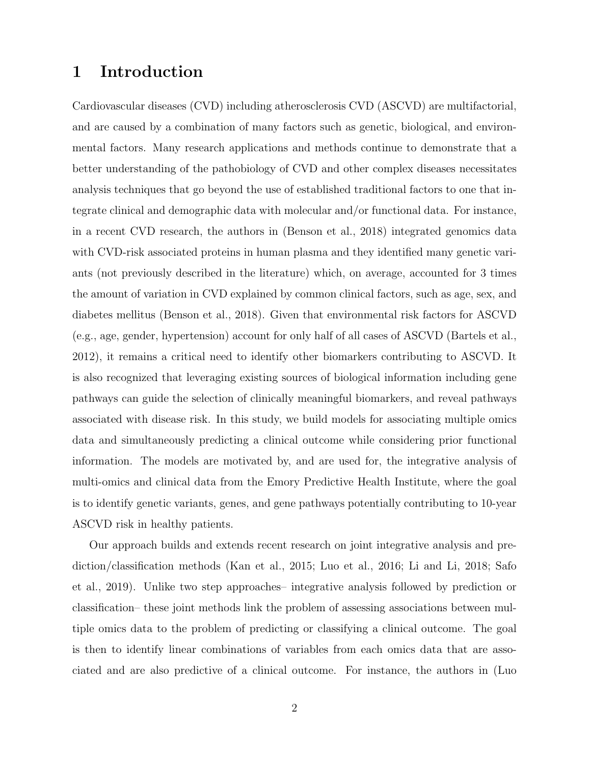## 1 Introduction

Cardiovascular diseases (CVD) including atherosclerosis CVD (ASCVD) are multifactorial, and are caused by a combination of many factors such as genetic, biological, and environmental factors. Many research applications and methods continue to demonstrate that a better understanding of the pathobiology of CVD and other complex diseases necessitates analysis techniques that go beyond the use of established traditional factors to one that integrate clinical and demographic data with molecular and/or functional data. For instance, in a recent CVD research, the authors in (Benson et al., 2018) integrated genomics data with CVD-risk associated proteins in human plasma and they identified many genetic variants (not previously described in the literature) which, on average, accounted for 3 times the amount of variation in CVD explained by common clinical factors, such as age, sex, and diabetes mellitus (Benson et al., 2018). Given that environmental risk factors for ASCVD (e.g., age, gender, hypertension) account for only half of all cases of ASCVD (Bartels et al., 2012), it remains a critical need to identify other biomarkers contributing to ASCVD. It is also recognized that leveraging existing sources of biological information including gene pathways can guide the selection of clinically meaningful biomarkers, and reveal pathways associated with disease risk. In this study, we build models for associating multiple omics data and simultaneously predicting a clinical outcome while considering prior functional information. The models are motivated by, and are used for, the integrative analysis of multi-omics and clinical data from the Emory Predictive Health Institute, where the goal is to identify genetic variants, genes, and gene pathways potentially contributing to 10-year ASCVD risk in healthy patients.

Our approach builds and extends recent research on joint integrative analysis and prediction/classification methods (Kan et al., 2015; Luo et al., 2016; Li and Li, 2018; Safo et al., 2019). Unlike two step approaches– integrative analysis followed by prediction or classification– these joint methods link the problem of assessing associations between multiple omics data to the problem of predicting or classifying a clinical outcome. The goal is then to identify linear combinations of variables from each omics data that are associated and are also predictive of a clinical outcome. For instance, the authors in (Luo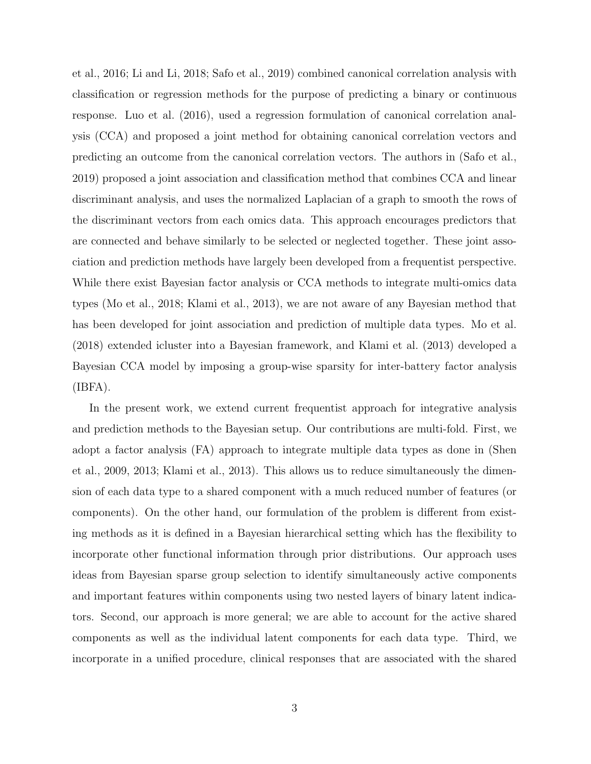et al., 2016; Li and Li, 2018; Safo et al., 2019) combined canonical correlation analysis with classification or regression methods for the purpose of predicting a binary or continuous response. Luo et al. (2016), used a regression formulation of canonical correlation analysis (CCA) and proposed a joint method for obtaining canonical correlation vectors and predicting an outcome from the canonical correlation vectors. The authors in (Safo et al., 2019) proposed a joint association and classification method that combines CCA and linear discriminant analysis, and uses the normalized Laplacian of a graph to smooth the rows of the discriminant vectors from each omics data. This approach encourages predictors that are connected and behave similarly to be selected or neglected together. These joint association and prediction methods have largely been developed from a frequentist perspective. While there exist Bayesian factor analysis or CCA methods to integrate multi-omics data types (Mo et al., 2018; Klami et al., 2013), we are not aware of any Bayesian method that has been developed for joint association and prediction of multiple data types. Mo et al. (2018) extended icluster into a Bayesian framework, and Klami et al. (2013) developed a Bayesian CCA model by imposing a group-wise sparsity for inter-battery factor analysis (IBFA).

In the present work, we extend current frequentist approach for integrative analysis and prediction methods to the Bayesian setup. Our contributions are multi-fold. First, we adopt a factor analysis (FA) approach to integrate multiple data types as done in (Shen et al., 2009, 2013; Klami et al., 2013). This allows us to reduce simultaneously the dimension of each data type to a shared component with a much reduced number of features (or components). On the other hand, our formulation of the problem is different from existing methods as it is defined in a Bayesian hierarchical setting which has the flexibility to incorporate other functional information through prior distributions. Our approach uses ideas from Bayesian sparse group selection to identify simultaneously active components and important features within components using two nested layers of binary latent indicators. Second, our approach is more general; we are able to account for the active shared components as well as the individual latent components for each data type. Third, we incorporate in a unified procedure, clinical responses that are associated with the shared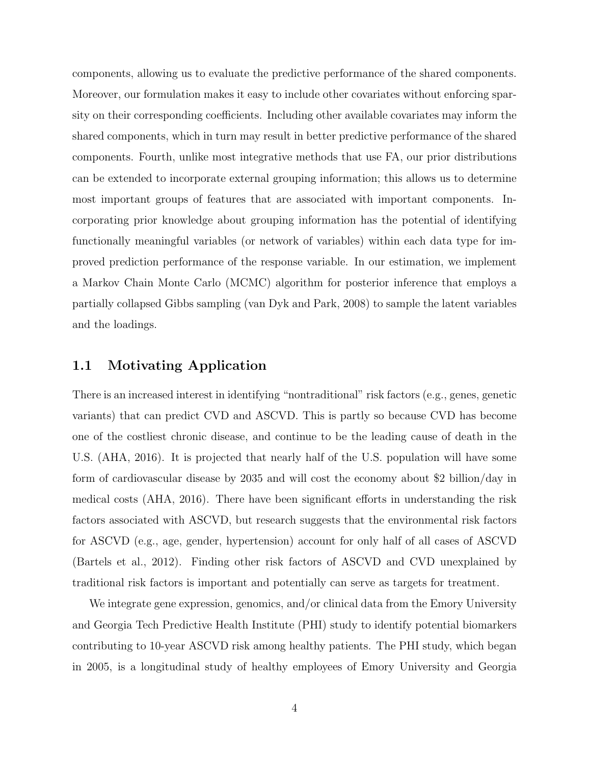components, allowing us to evaluate the predictive performance of the shared components. Moreover, our formulation makes it easy to include other covariates without enforcing sparsity on their corresponding coefficients. Including other available covariates may inform the shared components, which in turn may result in better predictive performance of the shared components. Fourth, unlike most integrative methods that use FA, our prior distributions can be extended to incorporate external grouping information; this allows us to determine most important groups of features that are associated with important components. Incorporating prior knowledge about grouping information has the potential of identifying functionally meaningful variables (or network of variables) within each data type for improved prediction performance of the response variable. In our estimation, we implement a Markov Chain Monte Carlo (MCMC) algorithm for posterior inference that employs a partially collapsed Gibbs sampling (van Dyk and Park, 2008) to sample the latent variables and the loadings.

### 1.1 Motivating Application

There is an increased interest in identifying "nontraditional" risk factors (e.g., genes, genetic variants) that can predict CVD and ASCVD. This is partly so because CVD has become one of the costliest chronic disease, and continue to be the leading cause of death in the U.S. (AHA, 2016). It is projected that nearly half of the U.S. population will have some form of cardiovascular disease by 2035 and will cost the economy about \$2 billion/day in medical costs (AHA, 2016). There have been significant efforts in understanding the risk factors associated with ASCVD, but research suggests that the environmental risk factors for ASCVD (e.g., age, gender, hypertension) account for only half of all cases of ASCVD (Bartels et al., 2012). Finding other risk factors of ASCVD and CVD unexplained by traditional risk factors is important and potentially can serve as targets for treatment.

We integrate gene expression, genomics, and/or clinical data from the Emory University and Georgia Tech Predictive Health Institute (PHI) study to identify potential biomarkers contributing to 10-year ASCVD risk among healthy patients. The PHI study, which began in 2005, is a longitudinal study of healthy employees of Emory University and Georgia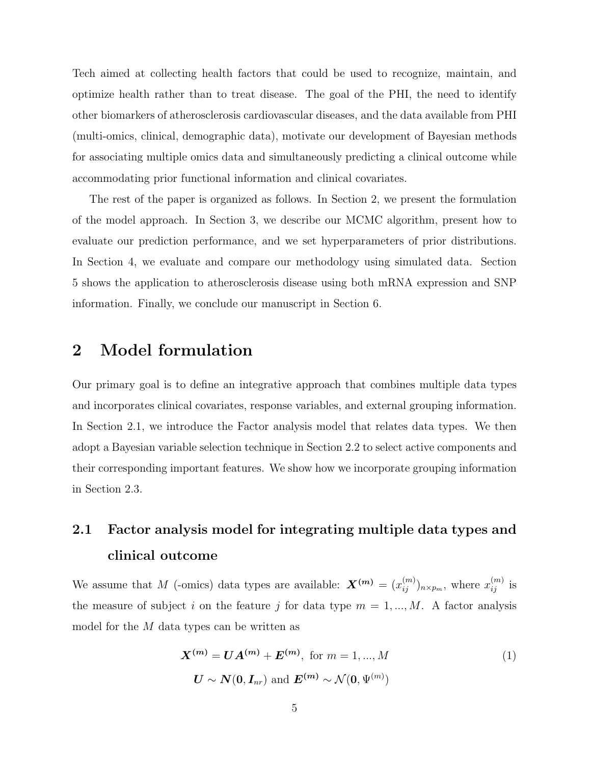Tech aimed at collecting health factors that could be used to recognize, maintain, and optimize health rather than to treat disease. The goal of the PHI, the need to identify other biomarkers of atherosclerosis cardiovascular diseases, and the data available from PHI (multi-omics, clinical, demographic data), motivate our development of Bayesian methods for associating multiple omics data and simultaneously predicting a clinical outcome while accommodating prior functional information and clinical covariates.

The rest of the paper is organized as follows. In Section 2, we present the formulation of the model approach. In Section 3, we describe our MCMC algorithm, present how to evaluate our prediction performance, and we set hyperparameters of prior distributions. In Section 4, we evaluate and compare our methodology using simulated data. Section 5 shows the application to atherosclerosis disease using both mRNA expression and SNP information. Finally, we conclude our manuscript in Section 6.

## 2 Model formulation

Our primary goal is to define an integrative approach that combines multiple data types and incorporates clinical covariates, response variables, and external grouping information. In Section 2.1, we introduce the Factor analysis model that relates data types. We then adopt a Bayesian variable selection technique in Section 2.2 to select active components and their corresponding important features. We show how we incorporate grouping information in Section 2.3.

# 2.1 Factor analysis model for integrating multiple data types and clinical outcome

We assume that M (-omics) data types are available:  $\mathbf{X}^{(m)} = (x_{ij}^{(m)})_{n \times p_m}$ , where  $x_{ij}^{(m)}$  is the measure of subject i on the feature j for data type  $m = 1, ..., M$ . A factor analysis model for the M data types can be written as

$$
\mathbf{X}^{(m)} = \mathbf{U}\mathbf{A}^{(m)} + \mathbf{E}^{(m)}, \text{ for } m = 1, ..., M
$$
  

$$
\mathbf{U} \sim \mathbf{N}(\mathbf{0}, \mathbf{I}_{nr}) \text{ and } \mathbf{E}^{(m)} \sim \mathcal{N}(\mathbf{0}, \Psi^{(m)})
$$
 (1)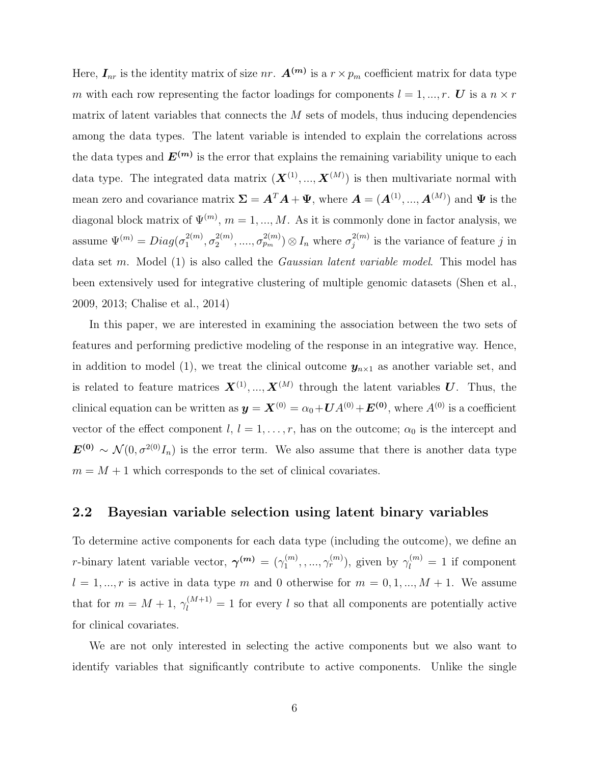Here,  $I_{nr}$  is the identity matrix of size nr.  $A^{(m)}$  is a  $r \times p_m$  coefficient matrix for data type m with each row representing the factor loadings for components  $l = 1, ..., r$ . U is a  $n \times r$ matrix of latent variables that connects the  $M$  sets of models, thus inducing dependencies among the data types. The latent variable is intended to explain the correlations across the data types and  $E^{(m)}$  is the error that explains the remaining variability unique to each data type. The integrated data matrix  $(\boldsymbol{X}^{(1)},...,\boldsymbol{X}^{(M)})$  is then multivariate normal with mean zero and covariance matrix  $\Sigma = A^T A + \Psi$ , where  $A = (A^{(1)}, ..., A^{(M)})$  and  $\Psi$  is the diagonal block matrix of  $\Psi^{(m)}$ ,  $m = 1, ..., M$ . As it is commonly done in factor analysis, we assume  $\Psi^{(m)} = Diag(\sigma_1^{2(m)})$  $\sigma_1^{2(m)}, \sigma_2^{2(m)}$  $\sigma_{2}^{2(m)}, \ldots, \sigma_{p_m}^{2(m)}) \otimes I_n$  where  $\sigma_j^{2(m)}$  $j^{2(m)}$  is the variance of feature j in data set m. Model (1) is also called the *Gaussian latent variable model*. This model has been extensively used for integrative clustering of multiple genomic datasets (Shen et al., 2009, 2013; Chalise et al., 2014)

In this paper, we are interested in examining the association between the two sets of features and performing predictive modeling of the response in an integrative way. Hence, in addition to model (1), we treat the clinical outcome  $y_{n\times 1}$  as another variable set, and is related to feature matrices  $X^{(1)},...,X^{(M)}$  through the latent variables U. Thus, the clinical equation can be written as  $y = X^{(0)} = \alpha_0 + UA^{(0)} + E^{(0)}$ , where  $A^{(0)}$  is a coefficient vector of the effect component  $l, l = 1, \ldots, r$ , has on the outcome;  $\alpha_0$  is the intercept and  $\mathbf{E}^{(0)} \sim \mathcal{N}(0, \sigma^{2(0)}I_n)$  is the error term. We also assume that there is another data type  $m = M + 1$  which corresponds to the set of clinical covariates.

#### 2.2 Bayesian variable selection using latent binary variables

To determine active components for each data type (including the outcome), we define an *r*-binary latent variable vector,  $\gamma^{(m)} = (\gamma_1^{(m)})$  $\gamma_1^{(m)}, \ldots, \gamma_r^{(m)}$ , given by  $\gamma_l^{(m)} = 1$  if component  $l = 1, ..., r$  is active in data type m and 0 otherwise for  $m = 0, 1, ..., M + 1$ . We assume that for  $m = M + 1$ ,  $\gamma_l^{(M+1)} = 1$  for every l so that all components are potentially active for clinical covariates.

We are not only interested in selecting the active components but we also want to identify variables that significantly contribute to active components. Unlike the single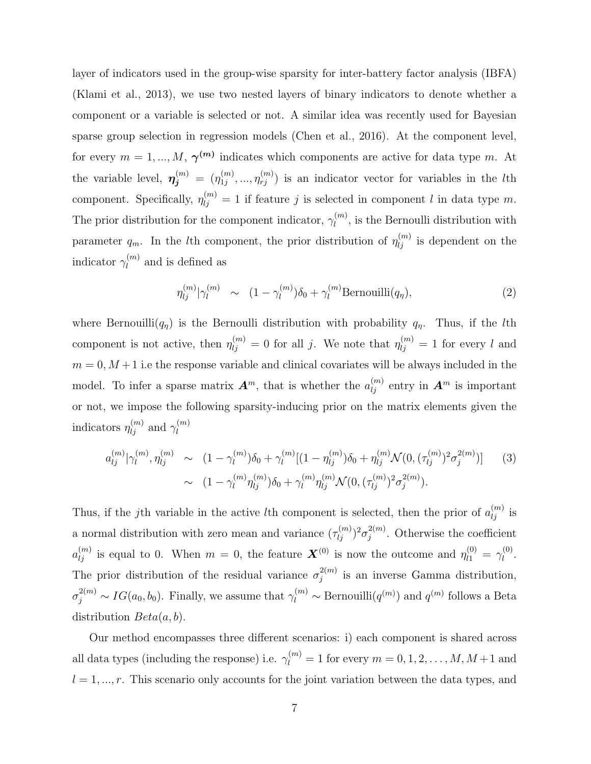layer of indicators used in the group-wise sparsity for inter-battery factor analysis (IBFA) (Klami et al., 2013), we use two nested layers of binary indicators to denote whether a component or a variable is selected or not. A similar idea was recently used for Bayesian sparse group selection in regression models (Chen et al., 2016). At the component level, for every  $m = 1, ..., M, \gamma^{(m)}$  indicates which components are active for data type m. At the variable level,  $\boldsymbol{\eta_j^{(m)}} = (\eta_{1j}^{(m)})$  $\eta_{1j}^{(m)}, \ldots, \eta_{rj}^{(m)}$  is an indicator vector for variables in the *l*th component. Specifically,  $\eta_{ij}^{(m)} = 1$  if feature j is selected in component l in data type m. The prior distribution for the component indicator,  $\gamma_l^{(m)}$  $\ell_l^{(m)}$ , is the Bernoulli distribution with parameter  $q_m$ . In the *l*th component, the prior distribution of  $\eta_{lj}^{(m)}$  is dependent on the indicator  $\gamma_l^{(m)}$  $\binom{m}{l}$  and is defined as

$$
\eta_{lj}^{(m)}|\gamma_l^{(m)} \sim (1 - \gamma_l^{(m)})\delta_0 + \gamma_l^{(m)}\text{Bernoulli}(q_\eta), \tag{2}
$$

where Bernouilli $(q_n)$  is the Bernoulli distribution with probability  $q_n$ . Thus, if the *lth* component is not active, then  $\eta_{lj}^{(m)} = 0$  for all j. We note that  $\eta_{lj}^{(m)} = 1$  for every l and  $m = 0, M + 1$  i.e the response variable and clinical covariates will be always included in the model. To infer a sparse matrix  $\mathbf{A}^m$ , that is whether the  $a_{lj}^{(m)}$  entry in  $\mathbf{A}^m$  is important or not, we impose the following sparsity-inducing prior on the matrix elements given the indicators  $\eta_{lj}^{(m)}$  and  $\gamma_{l}^{(m)}$ l

$$
a_{lj}^{(m)}|\gamma_{l}^{(m)},\eta_{lj}^{(m)} \sim (1-\gamma_{l}^{(m)})\delta_{0} + \gamma_{l}^{(m)}[(1-\eta_{lj}^{(m)})\delta_{0} + \eta_{lj}^{(m)}\mathcal{N}(0, (\tau_{lj}^{(m)})^{2}\sigma_{j}^{2(m)})] \qquad (3)
$$

$$
\sim (1-\gamma_{l}^{(m)}\eta_{lj}^{(m)})\delta_{0} + \gamma_{l}^{(m)}\eta_{lj}^{(m)}\mathcal{N}(0, (\tau_{lj}^{(m)})^{2}\sigma_{j}^{2(m)}) .
$$

Thus, if the jth variable in the active lth component is selected, then the prior of  $a_{lj}^{(m)}$  is a normal distribution with zero mean and variance  $(\tau_{lj}^{(m)})^2 \sigma_j^{2(m)}$  $j^{2(m)}$ . Otherwise the coefficient  $a_{lj}^{(m)}$  is equal to 0. When  $m=0$ , the feature  $\boldsymbol{X}^{(0)}$  is now the outcome and  $\eta_{l1}^{(0)} = \gamma_{l}^{(0)}$  $\frac{1}{l}^{(0)}$ . The prior distribution of the residual variance  $\sigma_i^{2(m)}$  $j^{2(m)}$  is an inverse Gamma distribution,  $\sigma_j^{2(m)} \sim IG(a_0, b_0)$ . Finally, we assume that  $\gamma_l^{(m)} \sim \text{Bernouilli}(q^{(m)})$  and  $q^{(m)}$  follows a Beta distribution  $Beta(a, b)$ .

Our method encompasses three different scenarios: i) each component is shared across all data types (including the response) i.e.  $\gamma_l^{(m)} = 1$  for every  $m = 0, 1, 2, ..., M, M + 1$  and  $l = 1, ..., r$ . This scenario only accounts for the joint variation between the data types, and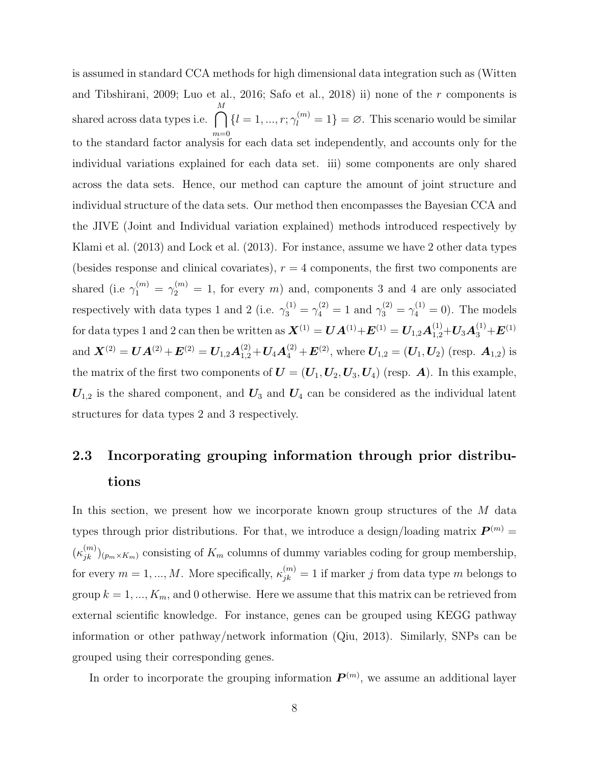is assumed in standard CCA methods for high dimensional data integration such as (Witten and Tibshirani, 2009; Luo et al., 2016; Safo et al., 2018) ii) none of the r components is shared across data types i.e.  $\bigcap$ M to the standard factor analysis for each data set independently, and accounts only for the  $\{l = 1, ..., r; \gamma_l^{(m)} = 1\} = \emptyset$ . This scenario would be similar individual variations explained for each data set. iii) some components are only shared across the data sets. Hence, our method can capture the amount of joint structure and individual structure of the data sets. Our method then encompasses the Bayesian CCA and the JIVE (Joint and Individual variation explained) methods introduced respectively by Klami et al. (2013) and Lock et al. (2013). For instance, assume we have 2 other data types (besides response and clinical covariates),  $r = 4$  components, the first two components are shared (i.e  $\gamma_1^{(m)} = \gamma_2^{(m)} = 1$ , for every m) and, components 3 and 4 are only associated respectively with data types 1 and 2 (i.e.  $\gamma_3^{(1)} = \gamma_4^{(2)} = 1$  and  $\gamma_3^{(2)} = \gamma_4^{(1)} = 0$ ). The models for data types 1 and 2 can then be written as  $\bm{X}^{(1)}=\bm{U}\bm{A}^{(1)}+\bm{E}^{(1)}=\bm{U}_{1,2}\bm{A}^{(1)}_{1,2}+\bm{U}_{3}\bm{A}^{(1)}_{3}+\bm{E}^{(1)}$ and  $\boldsymbol{X}^{(2)} = \boldsymbol{U}\boldsymbol{A}^{(2)} + \boldsymbol{E}^{(2)} = \boldsymbol{U}_{1,2}\boldsymbol{A}_{1,2}^{(2)} + \boldsymbol{U}_4\boldsymbol{A}_4^{(2)} + \boldsymbol{E}^{(2)}$ , where  $\boldsymbol{U}_{1,2} = (\boldsymbol{U}_1, \boldsymbol{U}_2)$  (resp.  $\boldsymbol{A}_{1,2}$ ) is the matrix of the first two components of  $U = (U_1, U_2, U_3, U_4)$  (resp. A). In this example,  $U_{1,2}$  is the shared component, and  $U_3$  and  $U_4$  can be considered as the individual latent structures for data types 2 and 3 respectively.

# 2.3 Incorporating grouping information through prior distributions

In this section, we present how we incorporate known group structures of the M data types through prior distributions. For that, we introduce a design/loading matrix  $P^{(m)}$  =  $(\kappa_{jk}^{(m)})_{(p_m \times K_m)}$  consisting of  $K_m$  columns of dummy variables coding for group membership, for every  $m = 1, ..., M$ . More specifically,  $\kappa_{jk}^{(m)} = 1$  if marker j from data type m belongs to group  $k = 1, ..., K_m$ , and 0 otherwise. Here we assume that this matrix can be retrieved from external scientific knowledge. For instance, genes can be grouped using KEGG pathway information or other pathway/network information (Qiu, 2013). Similarly, SNPs can be grouped using their corresponding genes.

In order to incorporate the grouping information  $P^{(m)}$ , we assume an additional layer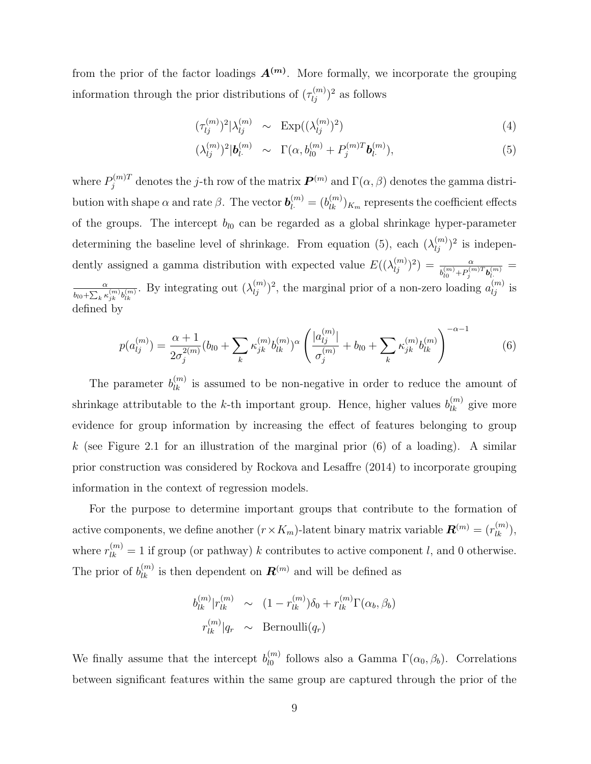from the prior of the factor loadings  $A^{(m)}$ . More formally, we incorporate the grouping information through the prior distributions of  $(\tau_{lj}^{(m)})^2$  as follows

$$
(\tau_{lj}^{(m)})^2 |\lambda_{lj}^{(m)} \sim \operatorname{Exp}((\lambda_{lj}^{(m)})^2)
$$
\n(4)

$$
(\lambda_{lj}^{(m)})^2 |\mathbf{b}_{l}^{(m)} \sim \Gamma(\alpha, b_{l0}^{(m)} + P_j^{(m)T} \mathbf{b}_{l}^{(m)}), \tag{5}
$$

where  $P_j^{(m)T}$  denotes the j-th row of the matrix  $\bm{P}^{(m)}$  and  $\Gamma(\alpha,\beta)$  denotes the gamma distribution with shape  $\alpha$  and rate  $\beta$ . The vector  $\bm{b}_l^{(m)}=(b_{lk}^{(m)})_{K_m}$  represents the coefficient effects of the groups. The intercept  $b_{l0}$  can be regarded as a global shrinkage hyper-parameter determining the baseline level of shrinkage. From equation (5), each  $(\lambda_{ij}^{(m)})^2$  is independently assigned a gamma distribution with expected value  $E((\lambda_{lj}^{(m)})^2) = \frac{\alpha}{b_{l0}^{(m)} + P_j^{(m)T} b_{l}^{(m)}} =$ α  $\frac{\alpha}{b_{l0} + \sum_k \kappa_{jk}^{(m)} b_{lk}^{(m)}}$ . By integrating out  $(\lambda_{lj}^{(m)})^2$ , the marginal prior of a non-zero loading  $a_{lj}^{(m)}$  is defined by

$$
p(a_{lj}^{(m)}) = \frac{\alpha+1}{2\sigma_j^{2(m)}}(b_{l0} + \sum_k \kappa_{jk}^{(m)} b_{lk}^{(m)})^{\alpha} \left(\frac{|a_{lj}^{(m)}|}{\sigma_j^{(m)}} + b_{l0} + \sum_k \kappa_{jk}^{(m)} b_{lk}^{(m)}\right)^{-\alpha-1}
$$
(6)

The parameter  $b_{lk}^{(m)}$  is assumed to be non-negative in order to reduce the amount of shrinkage attributable to the k-th important group. Hence, higher values  $b_{lk}^{(m)}$  give more evidence for group information by increasing the effect of features belonging to group k (see Figure 2.1 for an illustration of the marginal prior  $(6)$  of a loading). A similar prior construction was considered by Rockova and Lesaffre (2014) to incorporate grouping information in the context of regression models.

For the purpose to determine important groups that contribute to the formation of active components, we define another  $(r \times K_m)$ -latent binary matrix variable  $\mathbf{R}^{(m)} = (r_{lk}^{(m)}),$ where  $r_{lk}^{(m)} = 1$  if group (or pathway) k contributes to active component l, and 0 otherwise. The prior of  $b_{lk}^{(m)}$  is then dependent on  $\mathbf{R}^{(m)}$  and will be defined as

$$
b_{lk}^{(m)}|r_{lk}^{(m)} \sim (1 - r_{lk}^{(m)})\delta_0 + r_{lk}^{(m)}\Gamma(\alpha_b, \beta_b)
$$

$$
r_{lk}^{(m)}|q_r \sim \text{Bernoulli}(q_r)
$$

We finally assume that the intercept  $b_{n}^{(m)}$  $\int_{l0}^{(m)}$  follows also a Gamma  $\Gamma(\alpha_0, \beta_b)$ . Correlations between significant features within the same group are captured through the prior of the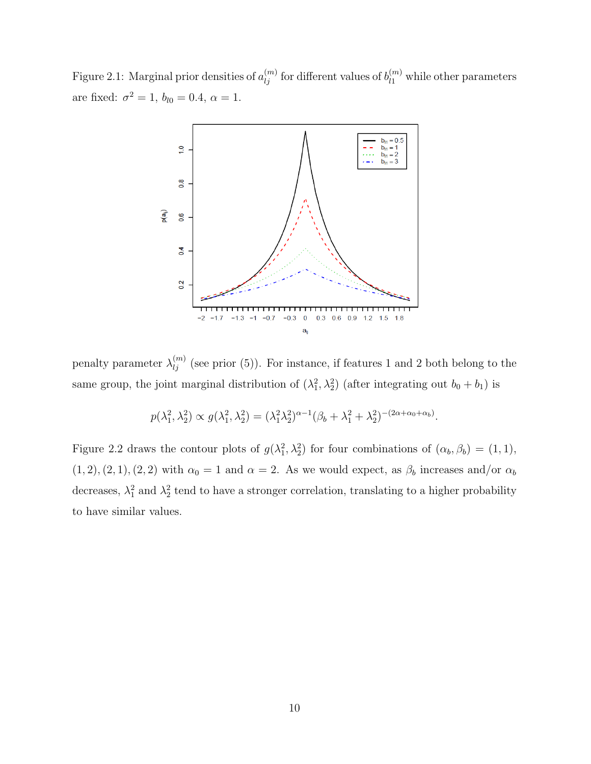Figure 2.1: Marginal prior densities of  $a_{lj}^{(m)}$  for different values of  $b_{l1}^{(m)}$  while other parameters are fixed:  $\sigma^2 = 1$ ,  $b_{l0} = 0.4$ ,  $\alpha = 1$ .



penalty parameter  $\lambda_{lj}^{(m)}$  (see prior (5)). For instance, if features 1 and 2 both belong to the same group, the joint marginal distribution of  $(\lambda_1^2, \lambda_2^2)$  (after integrating out  $b_0 + b_1$ ) is

$$
p(\lambda_1^2, \lambda_2^2) \propto g(\lambda_1^2, \lambda_2^2) = (\lambda_1^2 \lambda_2^2)^{\alpha - 1} (\beta_b + \lambda_1^2 + \lambda_2^2)^{-(2\alpha + \alpha_0 + \alpha_b)}.
$$

Figure 2.2 draws the contour plots of  $g(\lambda_1^2, \lambda_2^2)$  for four combinations of  $(\alpha_b, \beta_b) = (1, 1)$ ,  $(1, 2), (2, 1), (2, 2)$  with  $\alpha_0 = 1$  and  $\alpha = 2$ . As we would expect, as  $\beta_b$  increases and/or  $\alpha_b$ decreases,  $\lambda_1^2$  and  $\lambda_2^2$  tend to have a stronger correlation, translating to a higher probability to have similar values.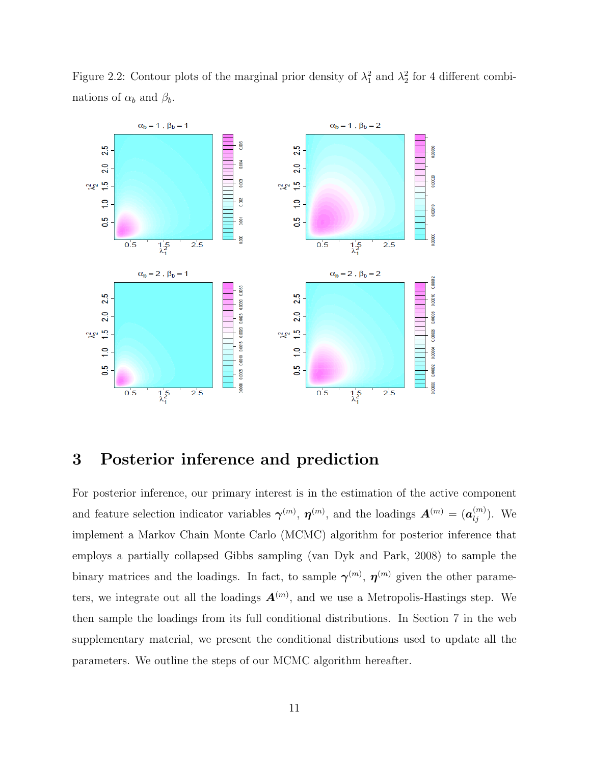

Figure 2.2: Contour plots of the marginal prior density of  $\lambda_1^2$  and  $\lambda_2^2$  for 4 different combinations of  $\alpha_b$  and  $\beta_b$ .

## 3 Posterior inference and prediction

For posterior inference, our primary interest is in the estimation of the active component and feature selection indicator variables  $\boldsymbol{\gamma}^{(m)}$ ,  $\boldsymbol{\eta}^{(m)}$ , and the loadings  $\boldsymbol{A}^{(m)} = (\boldsymbol{a}_{lj}^{(m)})$ . We implement a Markov Chain Monte Carlo (MCMC) algorithm for posterior inference that employs a partially collapsed Gibbs sampling (van Dyk and Park, 2008) to sample the binary matrices and the loadings. In fact, to sample  $\gamma^{(m)}$ ,  $\eta^{(m)}$  given the other parameters, we integrate out all the loadings  $A^{(m)}$ , and we use a Metropolis-Hastings step. We then sample the loadings from its full conditional distributions. In Section 7 in the web supplementary material, we present the conditional distributions used to update all the parameters. We outline the steps of our MCMC algorithm hereafter.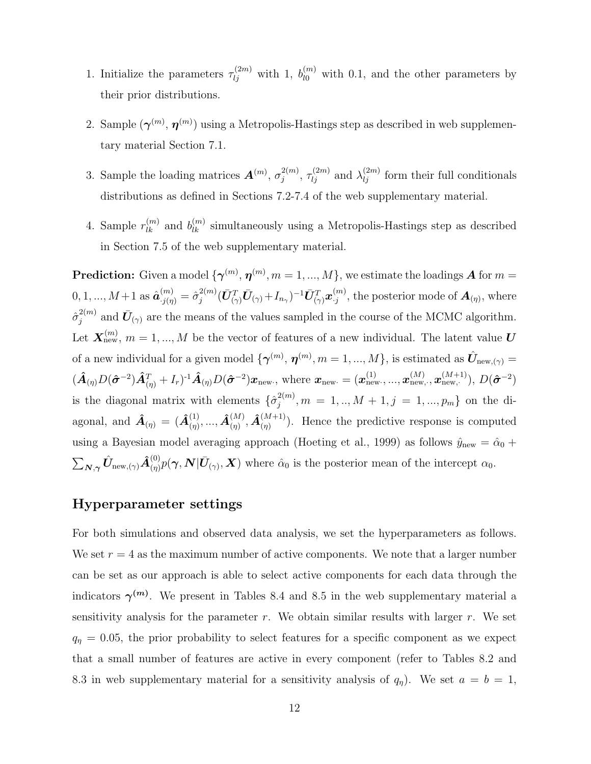- 1. Initialize the parameters  $\tau_{lj}^{(2m)}$  with 1,  $b_{l0}^{(m)}$  with 0.1, and the other parameters by their prior distributions.
- 2. Sample  $(\gamma^{(m)}, \eta^{(m)})$  using a Metropolis-Hastings step as described in web supplementary material Section 7.1.
- 3. Sample the loading matrices  $\mathbf{A}^{(m)}$ ,  $\sigma_i^{2(m)}$  $\tau_{ij}^{(2m)}$ ,  $\tau_{lj}^{(2m)}$  and  $\lambda_{lj}^{(2m)}$  form their full conditionals distributions as defined in Sections 7.2-7.4 of the web supplementary material.
- 4. Sample  $r_{lk}^{(m)}$  and  $b_{lk}^{(m)}$  simultaneously using a Metropolis-Hastings step as described in Section 7.5 of the web supplementary material.

**Prediction:** Given a model  $\{\boldsymbol{\gamma}^{(m)}, \boldsymbol{\eta}^{(m)}, m = 1, ..., M\}$ , we estimate the loadings **A** for  $m =$  $0, 1, ..., M+1$  as  $\hat{\boldsymbol{a}}_{.j(\eta)}^{(m)} = \hat{\sigma}_j^{2(m)}$  $\bar{U}_{j}^{(m)}(\bar{\bm{U}}_{(\gamma)}^T\bar{\bm{U}}_{(\gamma)}\!+\!I_{n_\gamma})^{-1}\bar{\bm{U}}_{(\gamma)}^T\bm{x}_{\cdot j}^{(m)}$  $\mathcal{L}_{j}^{(m)}$ , the posterior mode of  $\mathbf{A}_{(\eta)}$ , where  $\hat{\sigma}_{i}^{2(m)}$  $\bar{U}_{j}^{(m)}$  and  $\bar{U}_{(\gamma)}$  are the means of the values sampled in the course of the MCMC algorithm. Let  $\mathbf{X}_{\text{new}}^{(m)}$ ,  $m = 1, ..., M$  be the vector of features of a new individual. The latent value  $\boldsymbol{U}$ of a new individual for a given model  $\{\boldsymbol{\gamma}^{(m)}, \boldsymbol{\eta}^{(m)}, m=1,...,M\}$ , is estimated as  $\hat{\boldsymbol{U}}_{\text{new},(\gamma)}=$  $(\hat{\bm{A}}_{(\eta)} D(\hat{\bm{\sigma}}^{-2}) \hat{\bm{A}}_{(\eta)}^T + I_r)^{-1} \hat{\bm{A}}_{(\eta)} D(\hat{\bm{\sigma}}^{-2}) \bm{x}_{\text{new}}$ , where  $\bm{x}_{\text{new}} = (\bm{x}_{\text{new}}^{(1)}, ..., \bm{x}_{\text{new}}^{(M)}, \bm{x}_{\text{new}}^{(M+1)}), D(\hat{\bm{\sigma}}^{-2})$ is the diagonal matrix with elements  $\{\hat{\sigma}_i^{2(m)}\}$  $j^{2(m)}$ ,  $m = 1,..,M+1,j = 1,...,p_m$ } on the diagonal, and  $\hat{A}_{(\eta)} = (\hat{A}_{(\eta)}^{(1)},...,\hat{A}_{(\eta)}^{(M)},\hat{A}_{(\eta)}^{(M+1)})$ . Hence the predictive response is computed using a Bayesian model averaging approach (Hoeting et al., 1999) as follows  $\hat{y}_{\text{new}} = \hat{\alpha}_0 +$  $\sum_{\mathbf{N},\boldsymbol{\gamma}} \hat{\mathbf{U}}_{\text{new},(\boldsymbol{\gamma})} \hat{\mathbf{A}}_{(\eta)}^{(0)} p(\boldsymbol{\gamma},\mathbf{N} | \bar{\mathbf{U}}_{(\gamma)},\mathbf{X})$  where  $\hat{\alpha}_0$  is the posterior mean of the intercept  $\alpha_0$ .

#### Hyperparameter settings

For both simulations and observed data analysis, we set the hyperparameters as follows. We set  $r = 4$  as the maximum number of active components. We note that a larger number can be set as our approach is able to select active components for each data through the indicators  $\gamma^{(m)}$ . We present in Tables 8.4 and 8.5 in the web supplementary material a sensitivity analysis for the parameter r. We obtain similar results with larger r. We set  $q_{\eta} = 0.05$ , the prior probability to select features for a specific component as we expect that a small number of features are active in every component (refer to Tables 8.2 and 8.3 in web supplementary material for a sensitivity analysis of  $q_{\eta}$ ). We set  $a = b = 1$ ,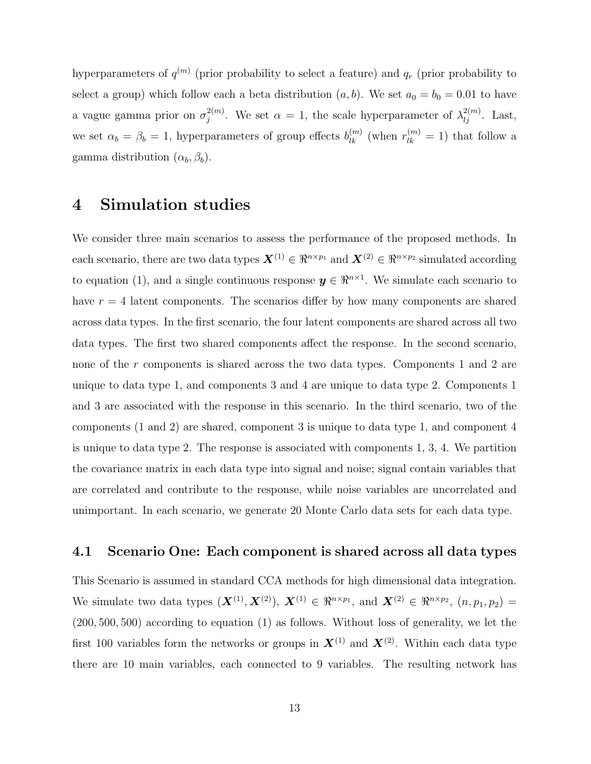hyperparameters of  $q^{(m)}$  (prior probability to select a feature) and  $q_r$  (prior probability to select a group) which follow each a beta distribution  $(a, b)$ . We set  $a_0 = b_0 = 0.01$  to have a vague gamma prior on  $\sigma_i^{2(m)}$  $j^{2(m)}$ . We set  $\alpha = 1$ , the scale hyperparameter of  $\lambda_{lj}^{2(m)}$ . Last, we set  $\alpha_b = \beta_b = 1$ , hyperparameters of group effects  $b_{lk}^{(m)}$  (when  $r_{lk}^{(m)} = 1$ ) that follow a gamma distribution  $(\alpha_b, \beta_b)$ .

## 4 Simulation studies

We consider three main scenarios to assess the performance of the proposed methods. In each scenario, there are two data types  $\mathbf{X}^{(1)} \in \mathbb{R}^{n \times p_1}$  and  $\mathbf{X}^{(2)} \in \mathbb{R}^{n \times p_2}$  simulated according to equation (1), and a single continuous response  $y \in \mathbb{R}^{n \times 1}$ . We simulate each scenario to have  $r = 4$  latent components. The scenarios differ by how many components are shared across data types. In the first scenario, the four latent components are shared across all two data types. The first two shared components affect the response. In the second scenario, none of the r components is shared across the two data types. Components 1 and 2 are unique to data type 1, and components 3 and 4 are unique to data type 2. Components 1 and 3 are associated with the response in this scenario. In the third scenario, two of the components (1 and 2) are shared, component 3 is unique to data type 1, and component 4 is unique to data type 2. The response is associated with components 1, 3, 4. We partition the covariance matrix in each data type into signal and noise; signal contain variables that are correlated and contribute to the response, while noise variables are uncorrelated and unimportant. In each scenario, we generate 20 Monte Carlo data sets for each data type.

#### 4.1 Scenario One: Each component is shared across all data types

This Scenario is assumed in standard CCA methods for high dimensional data integration. We simulate two data types  $(\mathbf{X}^{(1)}, \mathbf{X}^{(2)})$ ,  $\mathbf{X}^{(1)} \in \mathbb{R}^{n \times p_1}$ , and  $\mathbf{X}^{(2)} \in \mathbb{R}^{n \times p_2}$ ,  $(n, p_1, p_2)$  = (200, 500, 500) according to equation (1) as follows. Without loss of generality, we let the first 100 variables form the networks or groups in  $\mathbf{X}^{(1)}$  and  $\mathbf{X}^{(2)}$ . Within each data type there are 10 main variables, each connected to 9 variables. The resulting network has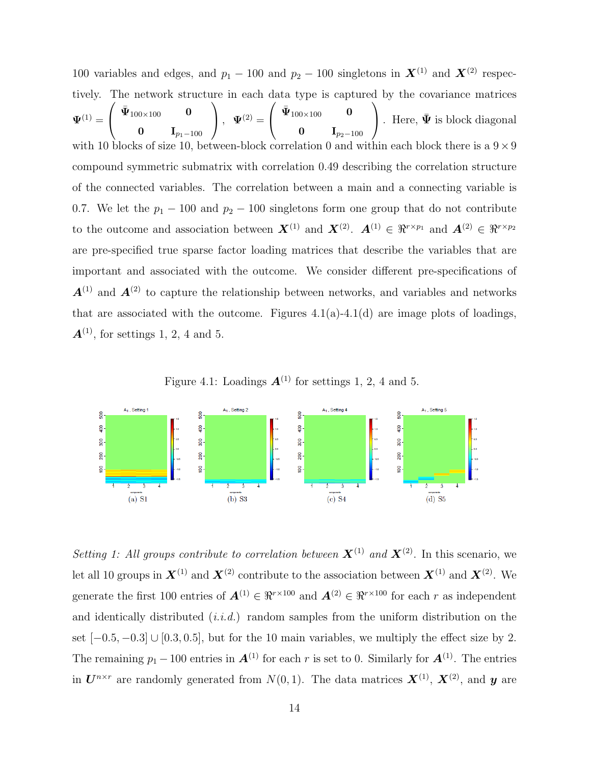100 variables and edges, and  $p_1 - 100$  and  $p_2 - 100$  singletons in  $\mathbf{X}^{(1)}$  and  $\mathbf{X}^{(2)}$  respectively. The network structure in each data type is captured by the covariance matrices  $\mathbf{\Psi}^{(1)}=% \begin{bmatrix} \omega_{11}\ \frac{\omega_{21}}{2} & \omega_{21}\ \frac{\omega_{11}}{2} & \omega_{21}\ \frac{\omega_{12}}{2} & \omega_{22}\ \frac{\omega_{11}}{2} & \omega_{22}\ \frac{\omega_{12}}{2} & \omega_{22}\ \frac{\omega_{12}}{2} & \omega_{21}\ \frac{\omega_{12}}{2} & \omega_{22}\ \frac{\omega_{12}}{2} & \omega_{22}\ \frac{\omega_{12}}{2} & \omega_{22}\ \frac{\omega_{12}}{2} & \omega_{22}\ \frac{\omega_{12}}{2} & \omega_{22$  $\sqrt{ }$  $\overline{1}$  $\bar{\mathbf{\Psi}}_{100\times 100}$  0 0 I $_{p_1-100}$  $\setminus$  $\Big\}$ ,  $\Psi^{(2)} =$  $\sqrt{ }$  $\overline{1}$  $\bar{\mathbf{\Psi}}_{100\times 100}$  0 0 I $_{p_2-100}$  $\setminus$ . Here,  $\bar{\Psi}$  is block diagonal with 10 blocks of size 10, between-block correlation 0 and within each block there is a  $9 \times 9$ compound symmetric submatrix with correlation 0.49 describing the correlation structure of the connected variables. The correlation between a main and a connecting variable is 0.7. We let the  $p_1 - 100$  and  $p_2 - 100$  singletons form one group that do not contribute to the outcome and association between  $\mathbf{X}^{(1)}$  and  $\mathbf{X}^{(2)}$ .  $\mathbf{A}^{(1)} \in \mathbb{R}^{r \times p_1}$  and  $\mathbf{A}^{(2)} \in \mathbb{R}^{r \times p_2}$ are pre-specified true sparse factor loading matrices that describe the variables that are important and associated with the outcome. We consider different pre-specifications of  $A^{(1)}$  and  $A^{(2)}$  to capture the relationship between networks, and variables and networks that are associated with the outcome. Figures  $4.1(a)$ - $4.1(d)$  are image plots of loadings,  $\mathbf{A}^{(1)}$ , for settings 1, 2, 4 and 5.

Figure 4.1: Loadings  $\mathbf{A}^{(1)}$  for settings 1, 2, 4 and 5.



Setting 1: All groups contribute to correlation between  $\mathbf{X}^{(1)}$  and  $\mathbf{X}^{(2)}$ . In this scenario, we let all 10 groups in  $\mathbf{X}^{(1)}$  and  $\mathbf{X}^{(2)}$  contribute to the association between  $\mathbf{X}^{(1)}$  and  $\mathbf{X}^{(2)}$ . We generate the first 100 entries of  $\mathbf{A}^{(1)} \in \mathbb{R}^{r \times 100}$  and  $\mathbf{A}^{(2)} \in \mathbb{R}^{r \times 100}$  for each r as independent and identically distributed  $(i.i.d.)$  random samples from the uniform distribution on the set  $[-0.5, -0.3]$  ∪  $[0.3, 0.5]$ , but for the 10 main variables, we multiply the effect size by 2. The remaining  $p_1 - 100$  entries in  $\mathbf{A}^{(1)}$  for each r is set to 0. Similarly for  $\mathbf{A}^{(1)}$ . The entries in  $\mathbf{U}^{n \times r}$  are randomly generated from  $N(0, 1)$ . The data matrices  $\mathbf{X}^{(1)}$ ,  $\mathbf{X}^{(2)}$ , and  $\mathbf{y}$  are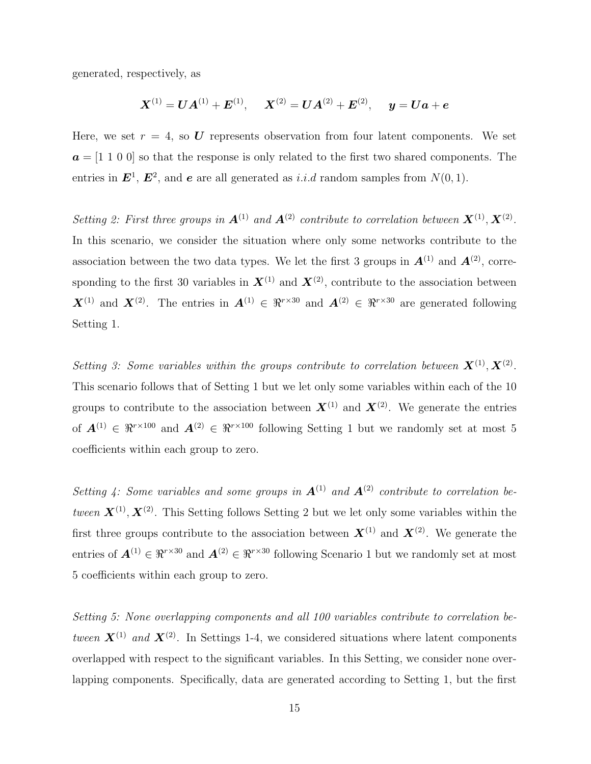generated, respectively, as

$$
\bm{X}^{(1)} = \bm{U}\bm{A}^{(1)} + \bm{E}^{(1)},\hspace{0.5cm} \bm{X}^{(2)} = \bm{U}\bm{A}^{(2)} + \bm{E}^{(2)},\hspace{0.5cm} \bm{y} = \bm{U}\bm{a} + \bm{e}
$$

Here, we set  $r = 4$ , so U represents observation from four latent components. We set  $a = \begin{bmatrix} 1 & 1 & 0 & 0 \end{bmatrix}$  so that the response is only related to the first two shared components. The entries in  $\mathbf{E}^1$ ,  $\mathbf{E}^2$ , and  $\mathbf{e}$  are all generated as i.i.d random samples from  $N(0, 1)$ .

Setting 2: First three groups in  $A^{(1)}$  and  $A^{(2)}$  contribute to correlation between  $X^{(1)}, X^{(2)}$ . In this scenario, we consider the situation where only some networks contribute to the association between the two data types. We let the first 3 groups in  $\mathbf{A}^{(1)}$  and  $\mathbf{A}^{(2)}$ , corresponding to the first 30 variables in  $\mathbf{X}^{(1)}$  and  $\mathbf{X}^{(2)}$ , contribute to the association between  $\mathbf{X}^{(1)}$  and  $\mathbf{X}^{(2)}$ . The entries in  $\mathbf{A}^{(1)} \in \mathbb{R}^{r \times 30}$  and  $\mathbf{A}^{(2)} \in \mathbb{R}^{r \times 30}$  are generated following Setting 1.

Setting 3: Some variables within the groups contribute to correlation between  $X^{(1)}, X^{(2)}$ . This scenario follows that of Setting 1 but we let only some variables within each of the 10 groups to contribute to the association between  $\mathbf{X}^{(1)}$  and  $\mathbf{X}^{(2)}$ . We generate the entries of  $\mathbf{A}^{(1)} \in \mathbb{R}^{r \times 100}$  and  $\mathbf{A}^{(2)} \in \mathbb{R}^{r \times 100}$  following Setting 1 but we randomly set at most 5 coefficients within each group to zero.

Setting 4: Some variables and some groups in  $A^{(1)}$  and  $A^{(2)}$  contribute to correlation between  $X^{(1)}$ ,  $X^{(2)}$ . This Setting follows Setting 2 but we let only some variables within the first three groups contribute to the association between  $\mathbf{X}^{(1)}$  and  $\mathbf{X}^{(2)}$ . We generate the entries of  $A^{(1)} \in \mathbb{R}^{r \times 30}$  and  $A^{(2)} \in \mathbb{R}^{r \times 30}$  following Scenario 1 but we randomly set at most 5 coefficients within each group to zero.

Setting 5: None overlapping components and all 100 variables contribute to correlation between  $\mathbf{X}^{(1)}$  and  $\mathbf{X}^{(2)}$ . In Settings 1-4, we considered situations where latent components overlapped with respect to the significant variables. In this Setting, we consider none overlapping components. Specifically, data are generated according to Setting 1, but the first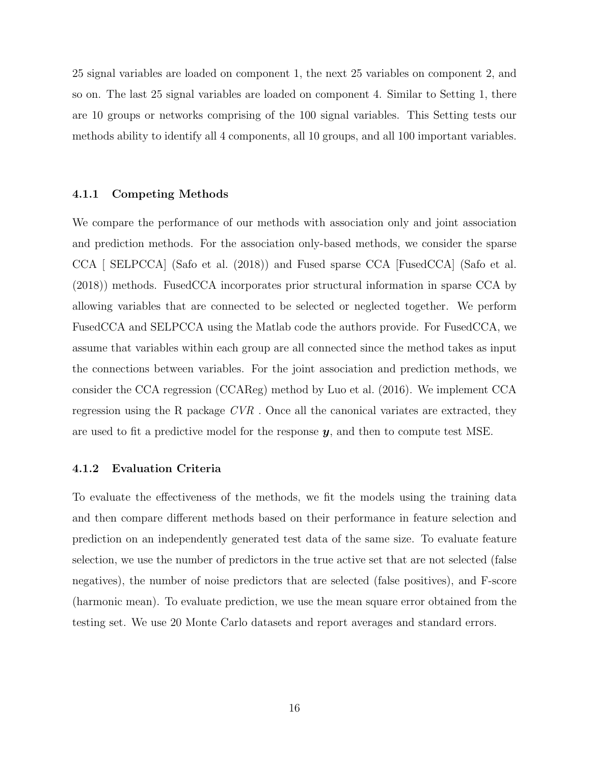25 signal variables are loaded on component 1, the next 25 variables on component 2, and so on. The last 25 signal variables are loaded on component 4. Similar to Setting 1, there are 10 groups or networks comprising of the 100 signal variables. This Setting tests our methods ability to identify all 4 components, all 10 groups, and all 100 important variables.

#### 4.1.1 Competing Methods

We compare the performance of our methods with association only and joint association and prediction methods. For the association only-based methods, we consider the sparse CCA [ SELPCCA] (Safo et al. (2018)) and Fused sparse CCA [FusedCCA] (Safo et al. (2018)) methods. FusedCCA incorporates prior structural information in sparse CCA by allowing variables that are connected to be selected or neglected together. We perform FusedCCA and SELPCCA using the Matlab code the authors provide. For FusedCCA, we assume that variables within each group are all connected since the method takes as input the connections between variables. For the joint association and prediction methods, we consider the CCA regression (CCAReg) method by Luo et al. (2016). We implement CCA regression using the R package CVR . Once all the canonical variates are extracted, they are used to fit a predictive model for the response  $y$ , and then to compute test MSE.

#### 4.1.2 Evaluation Criteria

To evaluate the effectiveness of the methods, we fit the models using the training data and then compare different methods based on their performance in feature selection and prediction on an independently generated test data of the same size. To evaluate feature selection, we use the number of predictors in the true active set that are not selected (false negatives), the number of noise predictors that are selected (false positives), and F-score (harmonic mean). To evaluate prediction, we use the mean square error obtained from the testing set. We use 20 Monte Carlo datasets and report averages and standard errors.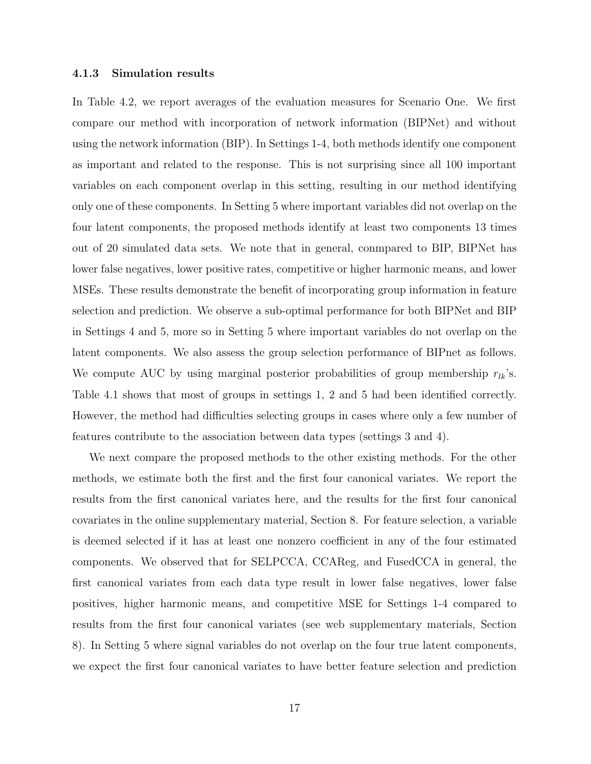#### 4.1.3 Simulation results

In Table 4.2, we report averages of the evaluation measures for Scenario One. We first compare our method with incorporation of network information (BIPNet) and without using the network information (BIP). In Settings 1-4, both methods identify one component as important and related to the response. This is not surprising since all 100 important variables on each component overlap in this setting, resulting in our method identifying only one of these components. In Setting 5 where important variables did not overlap on the four latent components, the proposed methods identify at least two components 13 times out of 20 simulated data sets. We note that in general, conmpared to BIP, BIPNet has lower false negatives, lower positive rates, competitive or higher harmonic means, and lower MSEs. These results demonstrate the benefit of incorporating group information in feature selection and prediction. We observe a sub-optimal performance for both BIPNet and BIP in Settings 4 and 5, more so in Setting 5 where important variables do not overlap on the latent components. We also assess the group selection performance of BIPnet as follows. We compute AUC by using marginal posterior probabilities of group membership  $r_{lk}$ 's. Table 4.1 shows that most of groups in settings 1, 2 and 5 had been identified correctly. However, the method had difficulties selecting groups in cases where only a few number of features contribute to the association between data types (settings 3 and 4).

We next compare the proposed methods to the other existing methods. For the other methods, we estimate both the first and the first four canonical variates. We report the results from the first canonical variates here, and the results for the first four canonical covariates in the online supplementary material, Section 8. For feature selection, a variable is deemed selected if it has at least one nonzero coefficient in any of the four estimated components. We observed that for SELPCCA, CCAReg, and FusedCCA in general, the first canonical variates from each data type result in lower false negatives, lower false positives, higher harmonic means, and competitive MSE for Settings 1-4 compared to results from the first four canonical variates (see web supplementary materials, Section 8). In Setting 5 where signal variables do not overlap on the four true latent components, we expect the first four canonical variates to have better feature selection and prediction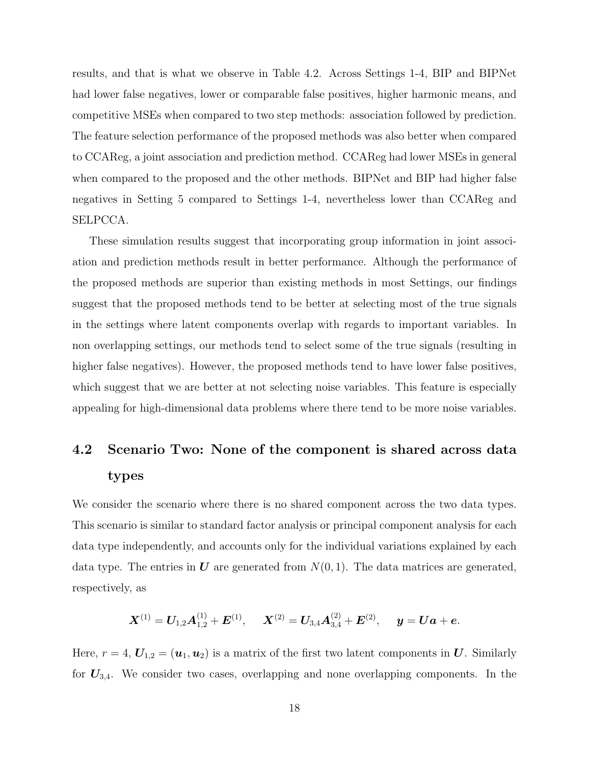results, and that is what we observe in Table 4.2. Across Settings 1-4, BIP and BIPNet had lower false negatives, lower or comparable false positives, higher harmonic means, and competitive MSEs when compared to two step methods: association followed by prediction. The feature selection performance of the proposed methods was also better when compared to CCAReg, a joint association and prediction method. CCAReg had lower MSEs in general when compared to the proposed and the other methods. BIPNet and BIP had higher false negatives in Setting 5 compared to Settings 1-4, nevertheless lower than CCAReg and SELPCCA.

These simulation results suggest that incorporating group information in joint association and prediction methods result in better performance. Although the performance of the proposed methods are superior than existing methods in most Settings, our findings suggest that the proposed methods tend to be better at selecting most of the true signals in the settings where latent components overlap with regards to important variables. In non overlapping settings, our methods tend to select some of the true signals (resulting in higher false negatives). However, the proposed methods tend to have lower false positives, which suggest that we are better at not selecting noise variables. This feature is especially appealing for high-dimensional data problems where there tend to be more noise variables.

# 4.2 Scenario Two: None of the component is shared across data types

We consider the scenario where there is no shared component across the two data types. This scenario is similar to standard factor analysis or principal component analysis for each data type independently, and accounts only for the individual variations explained by each data type. The entries in U are generated from  $N(0, 1)$ . The data matrices are generated, respectively, as

$$
\bm{X}^{(1)} = \bm{U}_{1,2}\bm{A}_{1,2}^{(1)} + \bm{E}^{(1)},\quad \ \bm{X}^{(2)} = \bm{U}_{3,4}\bm{A}_{3,4}^{(2)} + \bm{E}^{(2)},\quad \ \bm{y} = \bm{U}\bm{a} + \bm{e}.
$$

Here,  $r = 4$ ,  $U_{1,2} = (u_1, u_2)$  is a matrix of the first two latent components in U. Similarly for  $U_{3,4}$ . We consider two cases, overlapping and none overlapping components. In the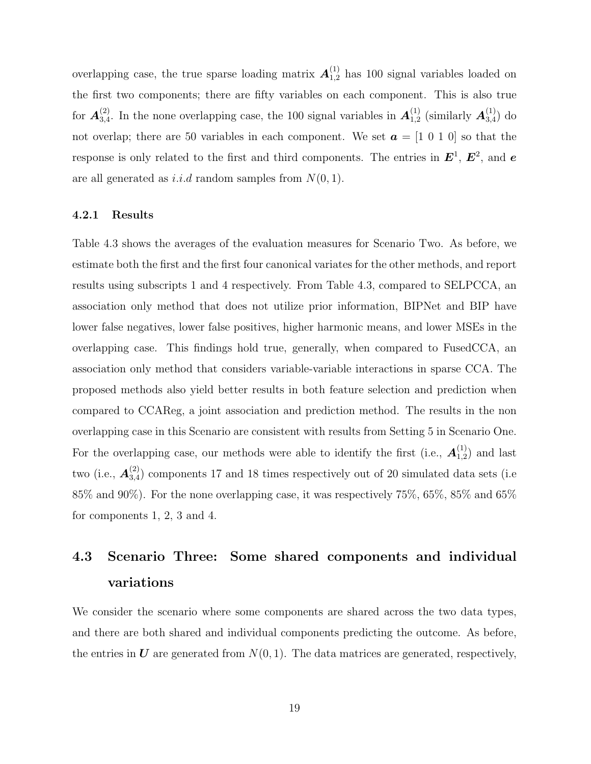overlapping case, the true sparse loading matrix  $A_{1,2}^{(1)}$  has 100 signal variables loaded on the first two components; there are fifty variables on each component. This is also true for  $\boldsymbol{A}^{(2)}_{3.4}$  $\mathcal{A}_{3,4}^{(2)}$ . In the none overlapping case, the 100 signal variables in  $\mathbf{A}_{1,2}^{(1)}$  $_{\rm 1,2}^{(1)}$  (similarly  $\boldsymbol{A}_{3,4}^{(1)}$  $_{3,4}^{(1)}$ ) do not overlap; there are 50 variables in each component. We set  $\boldsymbol{a} = [1 \ 0 \ 1 \ 0]$  so that the response is only related to the first and third components. The entries in  $E^1$ ,  $E^2$ , and  $e$ are all generated as *i.i.d* random samples from  $N(0, 1)$ .

#### 4.2.1 Results

Table 4.3 shows the averages of the evaluation measures for Scenario Two. As before, we estimate both the first and the first four canonical variates for the other methods, and report results using subscripts 1 and 4 respectively. From Table 4.3, compared to SELPCCA, an association only method that does not utilize prior information, BIPNet and BIP have lower false negatives, lower false positives, higher harmonic means, and lower MSEs in the overlapping case. This findings hold true, generally, when compared to FusedCCA, an association only method that considers variable-variable interactions in sparse CCA. The proposed methods also yield better results in both feature selection and prediction when compared to CCAReg, a joint association and prediction method. The results in the non overlapping case in this Scenario are consistent with results from Setting 5 in Scenario One. For the overlapping case, our methods were able to identify the first (i.e.,  $\mathbf{A}_{1,2}^{(1)}$  $_{1,2}^{(1)}$  and last two (i.e.,  $\bm{A}_{3.4}^{(2)}$  $_{3,4}^{(2)}$ ) components 17 and 18 times respectively out of 20 simulated data sets (i.e. 85% and 90%). For the none overlapping case, it was respectively 75%, 65%, 85% and 65% for components 1, 2, 3 and 4.

# 4.3 Scenario Three: Some shared components and individual variations

We consider the scenario where some components are shared across the two data types, and there are both shared and individual components predicting the outcome. As before, the entries in  $\bf{U}$  are generated from  $N(0, 1)$ . The data matrices are generated, respectively,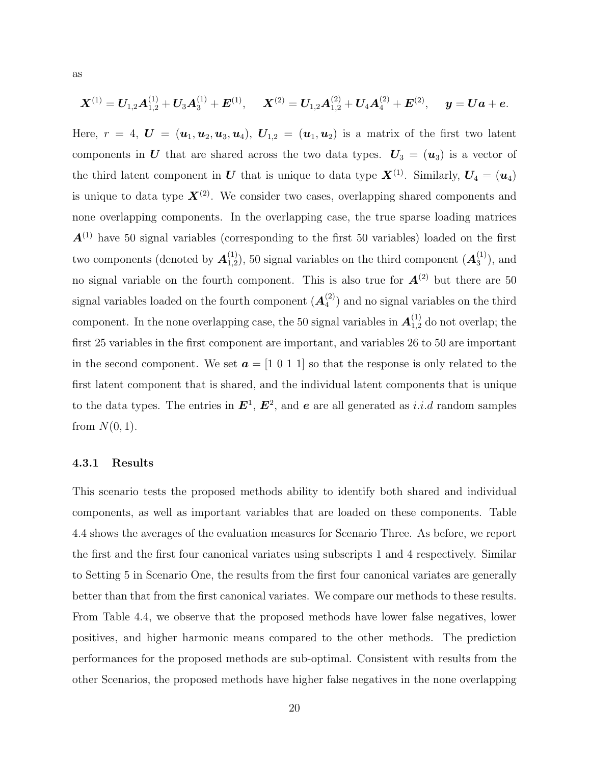$$
\boldsymbol{X}^{(1)} = \boldsymbol{U}_{1,2}\boldsymbol{A}_{1,2}^{(1)} + \boldsymbol{U}_{3}\boldsymbol{A}_{3}^{(1)} + \boldsymbol{E}^{(1)},\hspace{0.5cm} \boldsymbol{X}^{(2)} = \boldsymbol{U}_{1,2}\boldsymbol{A}_{1,2}^{(2)} + \boldsymbol{U}_{4}\boldsymbol{A}_{4}^{(2)} + \boldsymbol{E}^{(2)},\hspace{0.5cm} \boldsymbol{y} = \boldsymbol{U}\boldsymbol{a} + \boldsymbol{e}.
$$

Here,  $r = 4$ ,  $\boldsymbol{U} = (\boldsymbol{u}_1, \boldsymbol{u}_2, \boldsymbol{u}_3, \boldsymbol{u}_4)$ ,  $\boldsymbol{U}_{1,2} = (\boldsymbol{u}_1, \boldsymbol{u}_2)$  is a matrix of the first two latent components in U that are shared across the two data types.  $U_3 = (u_3)$  is a vector of the third latent component in U that is unique to data type  $\mathbf{X}^{(1)}$ . Similarly,  $\mathbf{U}_4 = (\mathbf{u}_4)$ is unique to data type  $X^{(2)}$ . We consider two cases, overlapping shared components and none overlapping components. In the overlapping case, the true sparse loading matrices  $A^{(1)}$  have 50 signal variables (corresponding to the first 50 variables) loaded on the first two components (denoted by  $\mathbf{A}^{(1)}_{1,2}$  $(1)$ <sub>1,2</sub>), 50 signal variables on the third component  $(\mathbf{A}_3^{(1)})$  $\binom{1}{3}$ , and no signal variable on the fourth component. This is also true for  $A^{(2)}$  but there are 50 signal variables loaded on the fourth component  $(A_4^{(2)})$  $\binom{2}{4}$  and no signal variables on the third component. In the none overlapping case, the 50 signal variables in  $A_{1,2}^{(1)}$  do not overlap; the first 25 variables in the first component are important, and variables 26 to 50 are important in the second component. We set  $\boldsymbol{a} = [1 \ 0 \ 1 \ 1]$  so that the response is only related to the first latent component that is shared, and the individual latent components that is unique to the data types. The entries in  $E^1, E^2$ , and e are all generated as i.i.d random samples from  $N(0, 1)$ .

#### 4.3.1 Results

This scenario tests the proposed methods ability to identify both shared and individual components, as well as important variables that are loaded on these components. Table 4.4 shows the averages of the evaluation measures for Scenario Three. As before, we report the first and the first four canonical variates using subscripts 1 and 4 respectively. Similar to Setting 5 in Scenario One, the results from the first four canonical variates are generally better than that from the first canonical variates. We compare our methods to these results. From Table 4.4, we observe that the proposed methods have lower false negatives, lower positives, and higher harmonic means compared to the other methods. The prediction performances for the proposed methods are sub-optimal. Consistent with results from the other Scenarios, the proposed methods have higher false negatives in the none overlapping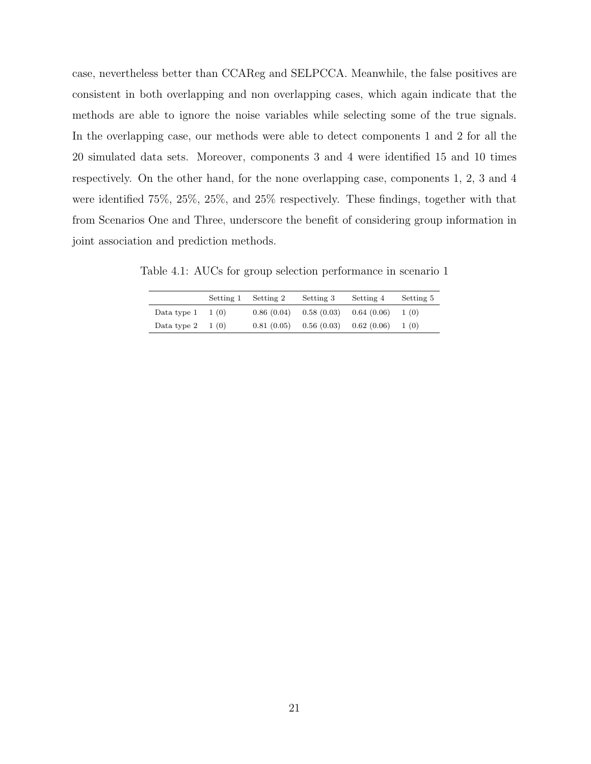case, nevertheless better than CCAReg and SELPCCA. Meanwhile, the false positives are consistent in both overlapping and non overlapping cases, which again indicate that the methods are able to ignore the noise variables while selecting some of the true signals. In the overlapping case, our methods were able to detect components 1 and 2 for all the 20 simulated data sets. Moreover, components 3 and 4 were identified 15 and 10 times respectively. On the other hand, for the none overlapping case, components 1, 2, 3 and 4 were identified 75%, 25%, 25%, and 25% respectively. These findings, together with that from Scenarios One and Three, underscore the benefit of considering group information in joint association and prediction methods.

Table 4.1: AUCs for group selection performance in scenario 1

|             | Setting 1 | Setting 2  | Setting 3                 | Setting 4 | Setting 5 |
|-------------|-----------|------------|---------------------------|-----------|-----------|
| Data type 1 | 1 (0)     | 0.86(0.04) | $0.58(0.03)$ $0.64(0.06)$ |           | 1(0)      |
| Data type 2 | 1 (0)     | 0.81(0.05) | $0.56(0.03)$ $0.62(0.06)$ |           | 1(0)      |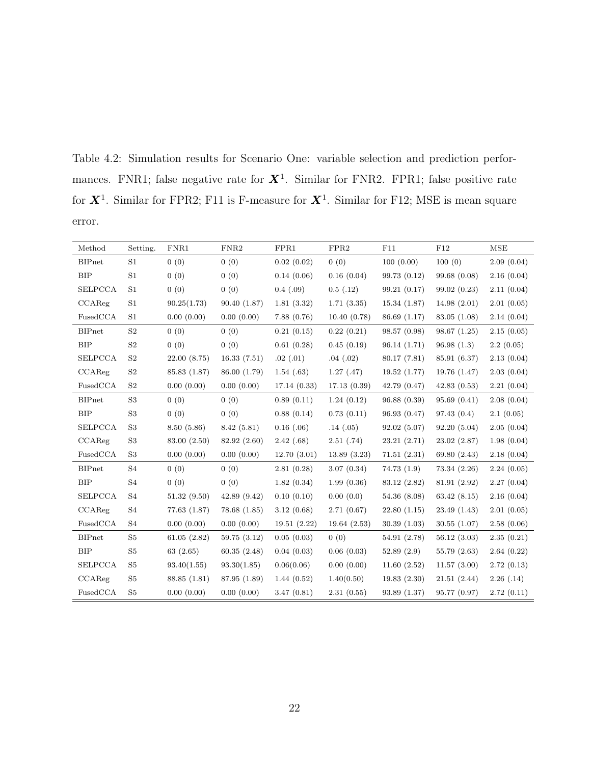Table 4.2: Simulation results for Scenario One: variable selection and prediction performances. FNR1; false negative rate for  $X^1$ . Similar for FNR2. FPR1; false positive rate for  $X^1$ . Similar for FPR2; F11 is F-measure for  $X^1$ . Similar for F12; MSE is mean square error.

| Method         | Setting.       | FNR1         | FNR <sub>2</sub> | FPR1           | FPR2        | F11          | F12          | <b>MSE</b> |
|----------------|----------------|--------------|------------------|----------------|-------------|--------------|--------------|------------|
| <b>BIPnet</b>  | S1             | 0(0)         | 0(0)             | 0.02(0.02)     | 0(0)        | 100(0.00)    | 100(0)       | 2.09(0.04) |
| BIP            | S1             | 0(0)         | 0(0)             | 0.14(0.06)     | 0.16(0.04)  | 99.73 (0.12) | 99.68(0.08)  | 2.16(0.04) |
| <b>SELPCCA</b> | S <sub>1</sub> | 0(0)         | 0(0)             | $0.4$ $(.09)$  | 0.5(0.12)   | 99.21(0.17)  | 99.02(0.23)  | 2.11(0.04) |
| CCAReg         | S1             | 90.25(1.73)  | 90.40(1.87)      | 1.81(3.32)     | 1.71(3.35)  | 15.34(1.87)  | 14.98(2.01)  | 2.01(0.05) |
| FusedCCA       | S <sub>1</sub> | 0.00(0.00)   | 0.00(0.00)       | 7.88(0.76)     | 10.40(0.78) | 86.69 (1.17) | 83.05 (1.08) | 2.14(0.04) |
| <b>BIPnet</b>  | S <sub>2</sub> | 0(0)         | 0(0)             | 0.21(0.15)     | 0.22(0.21)  | 98.57 (0.98) | 98.67(1.25)  | 2.15(0.05) |
| BIP            | S <sub>2</sub> | 0(0)         | 0(0)             | 0.61(0.28)     | 0.45(0.19)  | 96.14(1.71)  | 96.98(1.3)   | 2.2(0.05)  |
| <b>SELPCCA</b> | $\rm S2$       | 22.00(8.75)  | 16.33(7.51)      | .02(.01)       | .04(.02)    | 80.17(7.81)  | 85.91 (6.37) | 2.13(0.04) |
| CCAReg         | $\rm S2$       | 85.83 (1.87) | 86.00 (1.79)     | 1.54(0.63)     | 1.27(0.47)  | 19.52(1.77)  | 19.76 (1.47) | 2.03(0.04) |
| FusedCCA       | S <sub>2</sub> | 0.00(0.00)   | 0.00(0.00)       | 17.14(0.33)    | 17.13(0.39) | 42.79(0.47)  | 42.83(0.53)  | 2.21(0.04) |
| <b>BIPnet</b>  | S <sub>3</sub> | 0(0)         | 0(0)             | 0.89(0.11)     | 1.24(0.12)  | 96.88(0.39)  | 95.69(0.41)  | 2.08(0.04) |
| BIP            | S <sub>3</sub> | 0(0)         | 0(0)             | 0.88(0.14)     | 0.73(0.11)  | 96.93 (0.47) | 97.43 (0.4)  | 2.1(0.05)  |
| <b>SELPCCA</b> | S <sub>3</sub> | 8.50(5.86)   | 8.42(5.81)       | $0.16$ $(.06)$ | .14(.05)    | 92.02(5.07)  | 92.20(5.04)  | 2.05(0.04) |
| CCAReg         | S <sub>3</sub> | 83.00 (2.50) | 82.92 (2.60)     | 2.42(.68)      | 2.51(.74)   | 23.21(2.71)  | 23.02(2.87)  | 1.98(0.04) |
| FusedCCA       | S <sub>3</sub> | 0.00(0.00)   | 0.00(0.00)       | 12.70(3.01)    | 13.89(3.23) | 71.51(2.31)  | 69.80 (2.43) | 2.18(0.04) |
| <b>BIPnet</b>  | S <sub>4</sub> | 0(0)         | 0(0)             | 2.81(0.28)     | 3.07(0.34)  | 74.73(1.9)   | 73.34 (2.26) | 2.24(0.05) |
| BIP            | S <sub>4</sub> | 0(0)         | 0(0)             | 1.82(0.34)     | 1.99(0.36)  | 83.12 (2.82) | 81.91 (2.92) | 2.27(0.04) |
| <b>SELPCCA</b> | S4             | 51.32(9.50)  | 42.89(9.42)      | 0.10(0.10)     | 0.00(0.0)   | 54.36(8.08)  | 63.42(8.15)  | 2.16(0.04) |
| CCAReg         | S <sub>4</sub> | 77.63(1.87)  | 78.68(1.85)      | 3.12(0.68)     | 2.71(0.67)  | 22.80(1.15)  | 23.49(1.43)  | 2.01(0.05) |
| FusedCCA       | S4             | 0.00(0.00)   | 0.00(0.00)       | 19.51(2.22)    | 19.64(2.53) | 30.39(1.03)  | 30.55(1.07)  | 2.58(0.06) |
| <b>BIPnet</b>  | S <sub>5</sub> | 61.05(2.82)  | 59.75(3.12)      | 0.05(0.03)     | 0(0)        | 54.91 (2.78) | 56.12(3.03)  | 2.35(0.21) |
| <b>BIP</b>     | $\rm S5$       | 63(2.65)     | 60.35(2.48)      | 0.04(0.03)     | 0.06(0.03)  | 52.89(2.9)   | 55.79(2.63)  | 2.64(0.22) |
| <b>SELPCCA</b> | S <sub>5</sub> | 93.40(1.55)  | 93.30(1.85)      | 0.06(0.06)     | 0.00(0.00)  | 11.60(2.52)  | 11.57(3.00)  | 2.72(0.13) |
| CCAReg         | S <sub>5</sub> | 88.85 (1.81) | 87.95 (1.89)     | 1.44(0.52)     | 1.40(0.50)  | 19.83(2.30)  | 21.51(2.44)  | 2.26(0.14) |
| FusedCCA       | S <sub>5</sub> | 0.00(0.00)   | 0.00(0.00)       | 3.47(0.81)     | 2.31(0.55)  | 93.89(1.37)  | 95.77 (0.97) | 2.72(0.11) |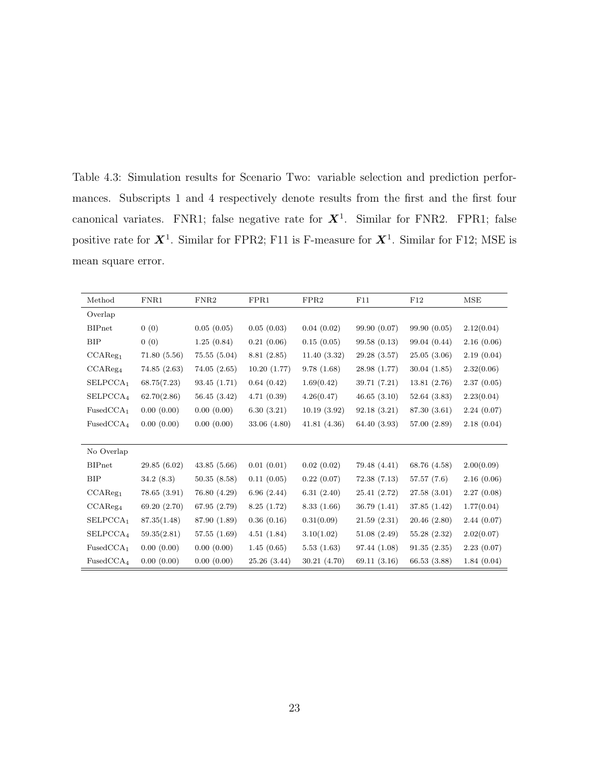Table 4.3: Simulation results for Scenario Two: variable selection and prediction performances. Subscripts 1 and 4 respectively denote results from the first and the first four canonical variates. FNR1; false negative rate for  $X^1$ . Similar for FNR2. FPR1; false positive rate for  $X^1$ . Similar for FPR2; F11 is F-measure for  $X^1$ . Similar for F12; MSE is mean square error.

| Method                | FNR1         | FNR <sub>2</sub> | FPR1        | FPR2        | F11          | F12          | <b>MSE</b> |
|-----------------------|--------------|------------------|-------------|-------------|--------------|--------------|------------|
| Overlap               |              |                  |             |             |              |              |            |
| <b>BIPnet</b>         | 0(0)         | 0.05(0.05)       | 0.05(0.03)  | 0.04(0.02)  | 99.90 (0.07) | 99.90(0.05)  | 2.12(0.04) |
| <b>BIP</b>            | 0(0)         | 1.25(0.84)       | 0.21(0.06)  | 0.15(0.05)  | 99.58(0.13)  | 99.04 (0.44) | 2.16(0.06) |
| CCAReg <sub>1</sub>   | 71.80(5.56)  | 75.55(5.04)      | 8.81(2.85)  | 11.40(3.32) | 29.28(3.57)  | 25.05(3.06)  | 2.19(0.04) |
| CCAReg <sub>4</sub>   | 74.85(2.63)  | 74.05(2.65)      | 10.20(1.77) | 9.78(1.68)  | 28.98 (1.77) | 30.04(1.85)  | 2.32(0.06) |
| SELPCCA <sub>1</sub>  | 68.75(7.23)  | 93.45(1.71)      | 0.64(0.42)  | 1.69(0.42)  | 39.71 (7.21) | 13.81(2.76)  | 2.37(0.05) |
| SELPCCA <sub>4</sub>  | 62.70(2.86)  | 56.45 (3.42)     | 4.71(0.39)  | 4.26(0.47)  | 46.65(3.10)  | 52.64(3.83)  | 2.23(0.04) |
| FusedCCA <sub>1</sub> | 0.00(0.00)   | 0.00(0.00)       | 6.30(3.21)  | 10.19(3.92) | 92.18(3.21)  | 87.30 (3.61) | 2.24(0.07) |
| FusedCCA <sub>4</sub> | 0.00(0.00)   | 0.00(0.00)       | 33.06(4.80) | 41.81(4.36) | 64.40 (3.93) | 57.00 (2.89) | 2.18(0.04) |
|                       |              |                  |             |             |              |              |            |
| No Overlap            |              |                  |             |             |              |              |            |
| <b>BIPnet</b>         | 29.85(6.02)  | 43.85(5.66)      | 0.01(0.01)  | 0.02(0.02)  | 79.48 (4.41) | 68.76 (4.58) | 2.00(0.09) |
| <b>BIP</b>            | 34.2(8.3)    | 50.35(8.58)      | 0.11(0.05)  | 0.22(0.07)  | 72.38(7.13)  | 57.57(7.6)   | 2.16(0.06) |
| CCAReg <sub>1</sub>   | 78.65(3.91)  | 76.80 (4.29)     | 6.96(2.44)  | 6.31(2.40)  | 25.41(2.72)  | 27.58(3.01)  | 2.27(0.08) |
| CCAReg <sub>4</sub>   | 69.20 (2.70) | 67.95 (2.79)     | 8.25(1.72)  | 8.33(1.66)  | 36.79(1.41)  | 37.85 (1.42) | 1.77(0.04) |
| SELPCCA <sub>1</sub>  | 87.35(1.48)  | 87.90 (1.89)     | 0.36(0.16)  | 0.31(0.09)  | 21.59(2.31)  | 20.46(2.80)  | 2.44(0.07) |
| SELPCCA <sub>4</sub>  | 59.35(2.81)  | 57.55(1.69)      | 4.51(1.84)  | 3.10(1.02)  | 51.08(2.49)  | 55.28(2.32)  | 2.02(0.07) |
| FusedCCA <sub>1</sub> | 0.00(0.00)   | 0.00(0.00)       | 1.45(0.65)  | 5.53(1.63)  | 97.44 (1.08) | 91.35(2.35)  | 2.23(0.07) |
| FusedCCA <sub>4</sub> | 0.00(0.00)   | 0.00(0.00)       | 25.26(3.44) | 30.21(4.70) | 69.11(3.16)  | 66.53 (3.88) | 1.84(0.04) |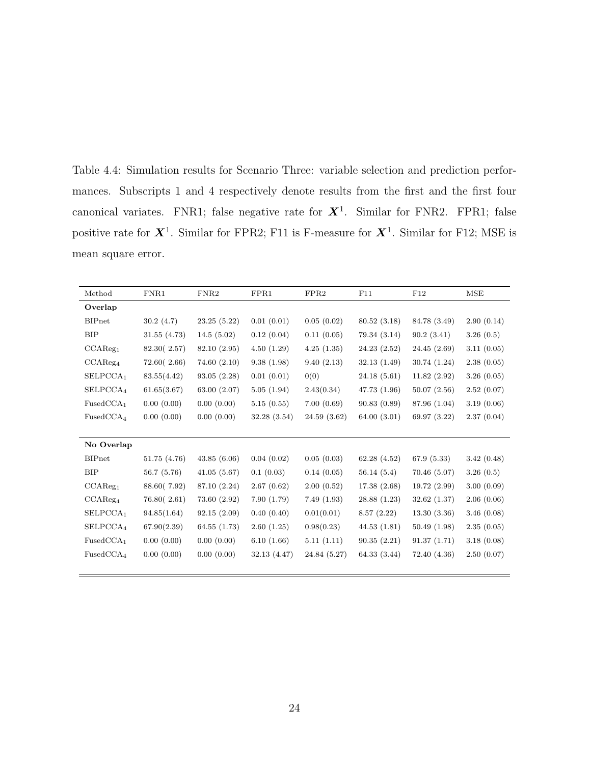Table 4.4: Simulation results for Scenario Three: variable selection and prediction performances. Subscripts 1 and 4 respectively denote results from the first and the first four canonical variates. FNR1; false negative rate for  $X^1$ . Similar for FNR2. FPR1; false positive rate for  $X^1$ . Similar for FPR2; F11 is F-measure for  $X^1$ . Similar for F12; MSE is mean square error.

| Method                | FNR1         | FNR <sub>2</sub> | FPR1        | FPR2         | F11          | F12          | <b>MSE</b> |
|-----------------------|--------------|------------------|-------------|--------------|--------------|--------------|------------|
| Overlap               |              |                  |             |              |              |              |            |
| <b>BIPnet</b>         | 30.2(4.7)    | 23.25(5.22)      | 0.01(0.01)  | 0.05(0.02)   | 80.52(3.18)  | 84.78 (3.49) | 2.90(0.14) |
| <b>BIP</b>            | 31.55(4.73)  | 14.5(5.02)       | 0.12(0.04)  | 0.11(0.05)   | 79.34 (3.14) | 90.2(3.41)   | 3.26(0.5)  |
| CCAReg <sub>1</sub>   | 82.30 (2.57) | 82.10 (2.95)     | 4.50(1.29)  | 4.25(1.35)   | 24.23(2.52)  | 24.45(2.69)  | 3.11(0.05) |
| CCAReg <sub>4</sub>   | 72.60(2.66)  | 74.60(2.10)      | 9.38(1.98)  | 9.40(2.13)   | 32.13(1.49)  | 30.74 (1.24) | 2.38(0.05) |
| SELPCCA <sub>1</sub>  | 83.55(4.42)  | 93.05(2.28)      | 0.01(0.01)  | 0(0)         | 24.18(5.61)  | 11.82(2.92)  | 3.26(0.05) |
| SELPCCA <sub>4</sub>  | 61.65(3.67)  | 63.00 (2.07)     | 5.05(1.94)  | 2.43(0.34)   | 47.73 (1.96) | 50.07(2.56)  | 2.52(0.07) |
| FusedCCA <sub>1</sub> | 0.00(0.00)   | 0.00(0.00)       | 5.15(0.55)  | 7.00(0.69)   | 90.83 (0.89) | 87.96 (1.04) | 3.19(0.06) |
| FusedCCA <sub>4</sub> | 0.00(0.00)   | 0.00(0.00)       | 32.28(3.54) | 24.59(3.62)  | 64.00 (3.01) | 69.97 (3.22) | 2.37(0.04) |
|                       |              |                  |             |              |              |              |            |
| No Overlap            |              |                  |             |              |              |              |            |
| <b>BIPnet</b>         | 51.75(4.76)  | 43.85(6.06)      | 0.04(0.02)  | 0.05(0.03)   | 62.28(4.52)  | 67.9(5.33)   | 3.42(0.48) |
| <b>BIP</b>            | 56.7(5.76)   | 41.05(5.67)      | 0.1(0.03)   | 0.14(0.05)   | 56.14(5.4)   | 70.46(5.07)  | 3.26(0.5)  |
| CCAReg <sub>1</sub>   | 88.60(7.92)  | 87.10 (2.24)     | 2.67(0.62)  | 2.00(0.52)   | 17.38(2.68)  | 19.72(2.99)  | 3.00(0.09) |
| CCAReg <sub>4</sub>   | 76.80(2.61)  | 73.60 (2.92)     | 7.90(1.79)  | 7.49(1.93)   | 28.88 (1.23) | 32.62(1.37)  | 2.06(0.06) |
| SELPCCA <sub>1</sub>  | 94.85(1.64)  | 92.15(2.09)      | 0.40(0.40)  | 0.01(0.01)   | 8.57(2.22)   | 13.30(3.36)  | 3.46(0.08) |
| SELPCCA <sub>4</sub>  | 67.90(2.39)  | 64.55(1.73)      | 2.60(1.25)  | 0.98(0.23)   | 44.53(1.81)  | 50.49(1.98)  | 2.35(0.05) |
| FusedCCA <sub>1</sub> | 0.00(0.00)   | 0.00(0.00)       | 6.10(1.66)  | 5.11(1.11)   | 90.35(2.21)  | 91.37(1.71)  | 3.18(0.08) |
| FusedCCA <sub>4</sub> | 0.00(0.00)   | 0.00(0.00)       | 32.13(4.47) | 24.84 (5.27) | 64.33 (3.44) | 72.40 (4.36) | 2.50(0.07) |
|                       |              |                  |             |              |              |              |            |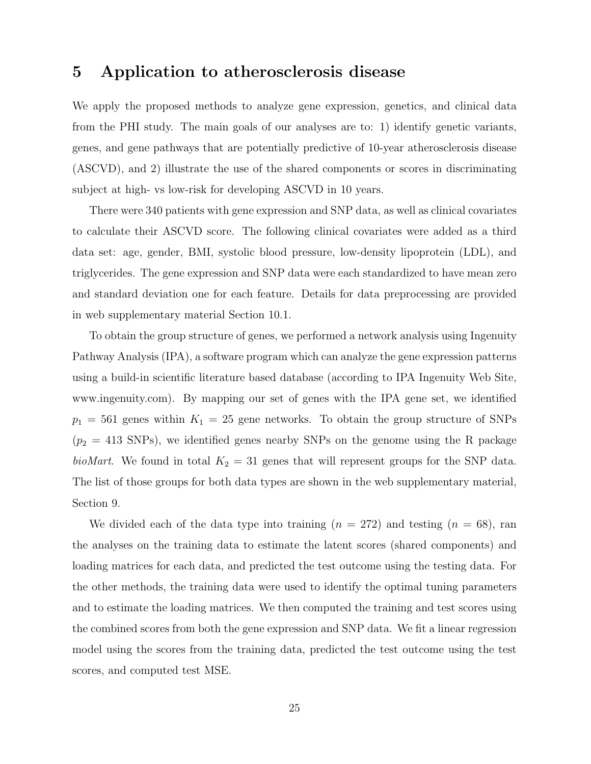## 5 Application to atherosclerosis disease

We apply the proposed methods to analyze gene expression, genetics, and clinical data from the PHI study. The main goals of our analyses are to: 1) identify genetic variants, genes, and gene pathways that are potentially predictive of 10-year atherosclerosis disease (ASCVD), and 2) illustrate the use of the shared components or scores in discriminating subject at high- vs low-risk for developing ASCVD in 10 years.

There were 340 patients with gene expression and SNP data, as well as clinical covariates to calculate their ASCVD score. The following clinical covariates were added as a third data set: age, gender, BMI, systolic blood pressure, low-density lipoprotein (LDL), and triglycerides. The gene expression and SNP data were each standardized to have mean zero and standard deviation one for each feature. Details for data preprocessing are provided in web supplementary material Section 10.1.

To obtain the group structure of genes, we performed a network analysis using Ingenuity Pathway Analysis (IPA), a software program which can analyze the gene expression patterns using a build-in scientific literature based database (according to IPA Ingenuity Web Site, www.ingenuity.com). By mapping our set of genes with the IPA gene set, we identified  $p_1 = 561$  genes within  $K_1 = 25$  gene networks. To obtain the group structure of SNPs  $(p_2 = 413$  SNPs), we identified genes nearby SNPs on the genome using the R package bioMart. We found in total  $K_2 = 31$  genes that will represent groups for the SNP data. The list of those groups for both data types are shown in the web supplementary material, Section 9.

We divided each of the data type into training  $(n = 272)$  and testing  $(n = 68)$ , ran the analyses on the training data to estimate the latent scores (shared components) and loading matrices for each data, and predicted the test outcome using the testing data. For the other methods, the training data were used to identify the optimal tuning parameters and to estimate the loading matrices. We then computed the training and test scores using the combined scores from both the gene expression and SNP data. We fit a linear regression model using the scores from the training data, predicted the test outcome using the test scores, and computed test MSE.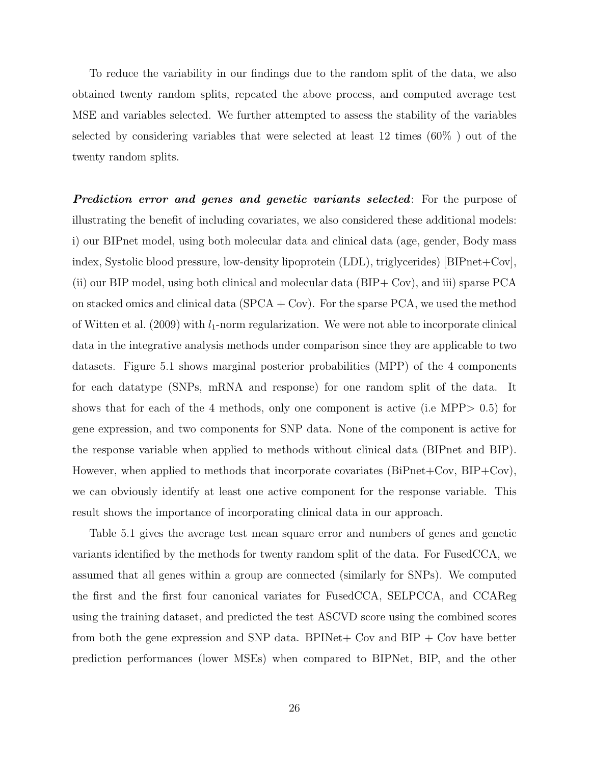To reduce the variability in our findings due to the random split of the data, we also obtained twenty random splits, repeated the above process, and computed average test MSE and variables selected. We further attempted to assess the stability of the variables selected by considering variables that were selected at least 12 times (60% ) out of the twenty random splits.

**Prediction error and genes and genetic variants selected**: For the purpose of illustrating the benefit of including covariates, we also considered these additional models: i) our BIPnet model, using both molecular data and clinical data (age, gender, Body mass index, Systolic blood pressure, low-density lipoprotein (LDL), triglycerides) [BIPnet+Cov], (ii) our BIP model, using both clinical and molecular data (BIP+ Cov), and iii) sparse PCA on stacked omics and clinical data  $(SPCA + Cov)$ . For the sparse PCA, we used the method of Witten et al. (2009) with  $l_1$ -norm regularization. We were not able to incorporate clinical data in the integrative analysis methods under comparison since they are applicable to two datasets. Figure 5.1 shows marginal posterior probabilities (MPP) of the 4 components for each datatype (SNPs, mRNA and response) for one random split of the data. It shows that for each of the 4 methods, only one component is active (i.e MPP> 0.5) for gene expression, and two components for SNP data. None of the component is active for the response variable when applied to methods without clinical data (BIPnet and BIP). However, when applied to methods that incorporate covariates (BiPnet+Cov, BIP+Cov), we can obviously identify at least one active component for the response variable. This result shows the importance of incorporating clinical data in our approach.

Table 5.1 gives the average test mean square error and numbers of genes and genetic variants identified by the methods for twenty random split of the data. For FusedCCA, we assumed that all genes within a group are connected (similarly for SNPs). We computed the first and the first four canonical variates for FusedCCA, SELPCCA, and CCAReg using the training dataset, and predicted the test ASCVD score using the combined scores from both the gene expression and SNP data. BPINet + Cov and BIP + Cov have better prediction performances (lower MSEs) when compared to BIPNet, BIP, and the other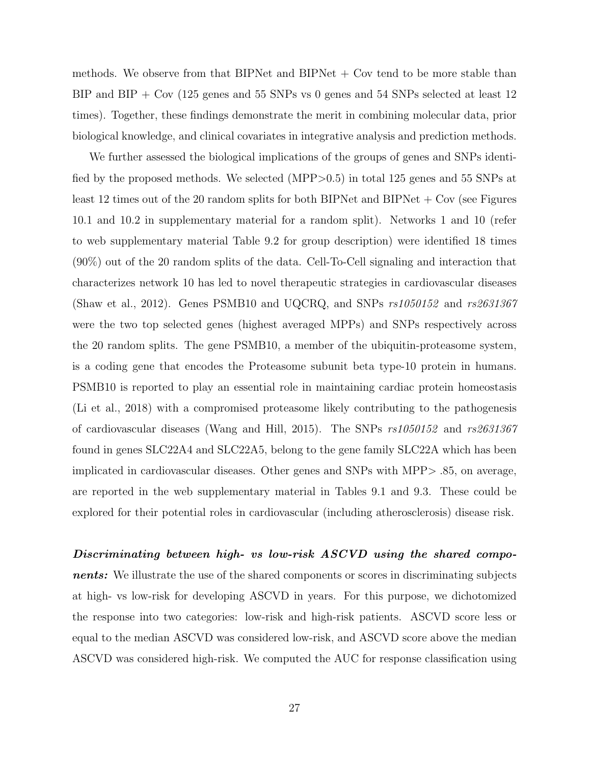methods. We observe from that BIPNet and BIPNet  $+$  Cov tend to be more stable than BIP and BIP + Cov (125 genes and 55 SNPs vs 0 genes and 54 SNPs selected at least 12 times). Together, these findings demonstrate the merit in combining molecular data, prior biological knowledge, and clinical covariates in integrative analysis and prediction methods.

We further assessed the biological implications of the groups of genes and SNPs identified by the proposed methods. We selected (MPP>0.5) in total 125 genes and 55 SNPs at least 12 times out of the 20 random splits for both BIPNet and BIPNet  $+$  Cov (see Figures 10.1 and 10.2 in supplementary material for a random split). Networks 1 and 10 (refer to web supplementary material Table 9.2 for group description) were identified 18 times (90%) out of the 20 random splits of the data. Cell-To-Cell signaling and interaction that characterizes network 10 has led to novel therapeutic strategies in cardiovascular diseases (Shaw et al., 2012). Genes PSMB10 and UQCRQ, and SNPs  $rs1050152$  and  $rs2631367$ were the two top selected genes (highest averaged MPPs) and SNPs respectively across the 20 random splits. The gene PSMB10, a member of the ubiquitin-proteasome system, is a coding gene that encodes the Proteasome subunit beta type-10 protein in humans. PSMB10 is reported to play an essential role in maintaining cardiac protein homeostasis (Li et al., 2018) with a compromised proteasome likely contributing to the pathogenesis of cardiovascular diseases (Wang and Hill, 2015). The SNPs rs1050152 and rs2631367 found in genes SLC22A4 and SLC22A5, belong to the gene family SLC22A which has been implicated in cardiovascular diseases. Other genes and SNPs with MPP> .85, on average, are reported in the web supplementary material in Tables 9.1 and 9.3. These could be explored for their potential roles in cardiovascular (including atherosclerosis) disease risk.

Discriminating between high- vs low-risk ASCVD using the shared components: We illustrate the use of the shared components or scores in discriminating subjects at high- vs low-risk for developing ASCVD in years. For this purpose, we dichotomized the response into two categories: low-risk and high-risk patients. ASCVD score less or equal to the median ASCVD was considered low-risk, and ASCVD score above the median ASCVD was considered high-risk. We computed the AUC for response classification using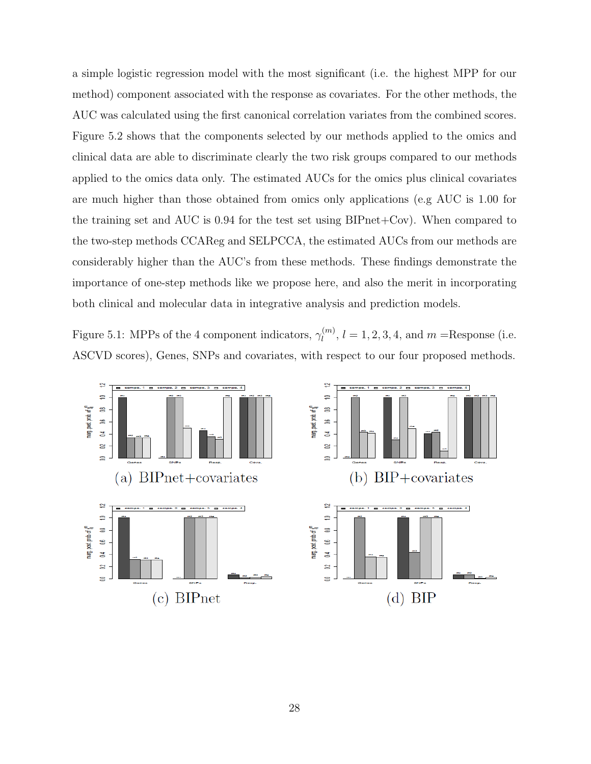a simple logistic regression model with the most significant (i.e. the highest MPP for our method) component associated with the response as covariates. For the other methods, the AUC was calculated using the first canonical correlation variates from the combined scores. Figure 5.2 shows that the components selected by our methods applied to the omics and clinical data are able to discriminate clearly the two risk groups compared to our methods applied to the omics data only. The estimated AUCs for the omics plus clinical covariates are much higher than those obtained from omics only applications (e.g AUC is 1.00 for the training set and AUC is 0.94 for the test set using BIPnet+Cov). When compared to the two-step methods CCAReg and SELPCCA, the estimated AUCs from our methods are considerably higher than the AUC's from these methods. These findings demonstrate the importance of one-step methods like we propose here, and also the merit in incorporating both clinical and molecular data in integrative analysis and prediction models.

Figure 5.1: MPPs of the 4 component indicators,  $\gamma_l^{(m)}$  $l_l^{(m)}$ ,  $l = 1, 2, 3, 4$ , and  $m$  = Response (i.e. ASCVD scores), Genes, SNPs and covariates, with respect to our four proposed methods.

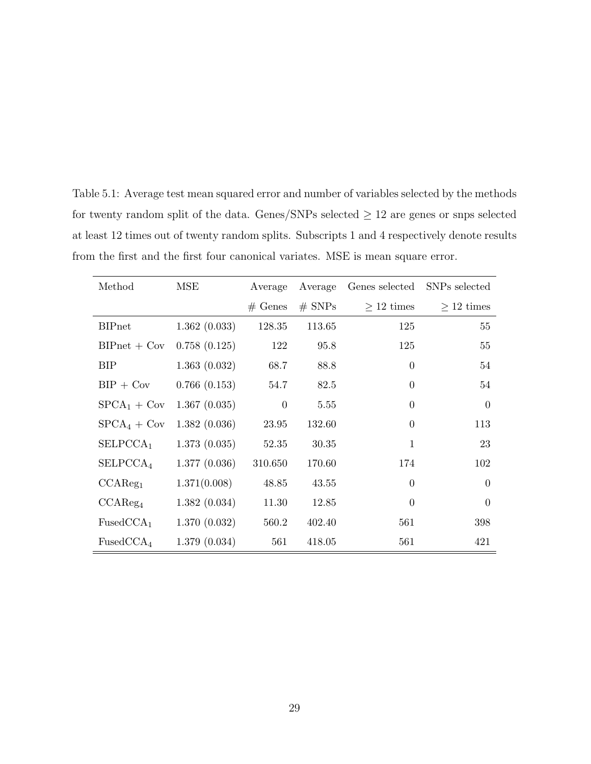| Method                | MSE          | Average           | Average  | Genes selected  | SNPs selected   |
|-----------------------|--------------|-------------------|----------|-----------------|-----------------|
|                       |              | $# \text{ Genes}$ | $#$ SNPs | $\geq 12$ times | $\geq 12$ times |
| <b>BIPnet</b>         | 1.362(0.033) | 128.35            | 113.65   | 125             | 55              |
| $BIPnet + Cov$        | 0.758(0.125) | 122               | 95.8     | 125             | 55              |
| BIP                   | 1.363(0.032) | 68.7              | 88.8     | $\theta$        | 54              |
| $BIP + Cov$           | 0.766(0.153) | 54.7              | 82.5     | $\Omega$        | 54              |
| $SPCA_1 + Cov$        | 1.367(0.035) | $\theta$          | 5.55     | $\Omega$        | $\overline{0}$  |
| $SPCA4 + Cov$         | 1.382(0.036) | 23.95             | 132.60   | $\theta$        | 113             |
| SELPCCA <sub>1</sub>  | 1.373(0.035) | 52.35             | 30.35    | 1               | 23              |
| SELPCCA <sub>4</sub>  | 1.377(0.036) | 310.650           | 170.60   | 174             | 102             |
| CCAReg <sub>1</sub>   | 1.371(0.008) | 48.85             | 43.55    | $\Omega$        | $\overline{0}$  |
| CCAReg <sub>4</sub>   | 1.382(0.034) | 11.30             | 12.85    | $\Omega$        | $\Omega$        |
| FusedCCA <sub>1</sub> | 1.370(0.032) | 560.2             | 402.40   | 561             | 398             |
| FusedCCA <sub>4</sub> | 1.379(0.034) | 561               | 418.05   | 561             | 421             |

Table 5.1: Average test mean squared error and number of variables selected by the methods for twenty random split of the data. Genes/SNPs selected  $\geq 12$  are genes or snps selected at least 12 times out of twenty random splits. Subscripts 1 and 4 respectively denote results from the first and the first four canonical variates. MSE is mean square error.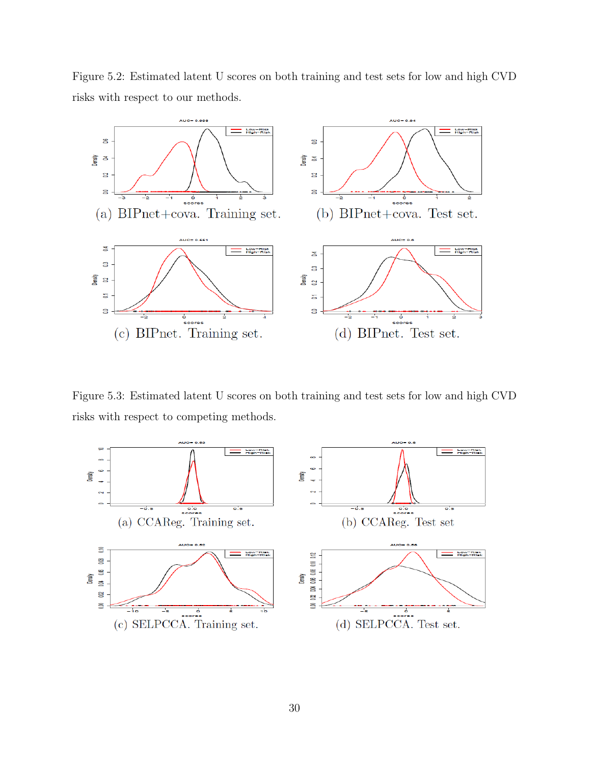Figure 5.2: Estimated latent U scores on both training and test sets for low and high CVD risks with respect to our methods.



Figure 5.3: Estimated latent U scores on both training and test sets for low and high CVD risks with respect to competing methods.

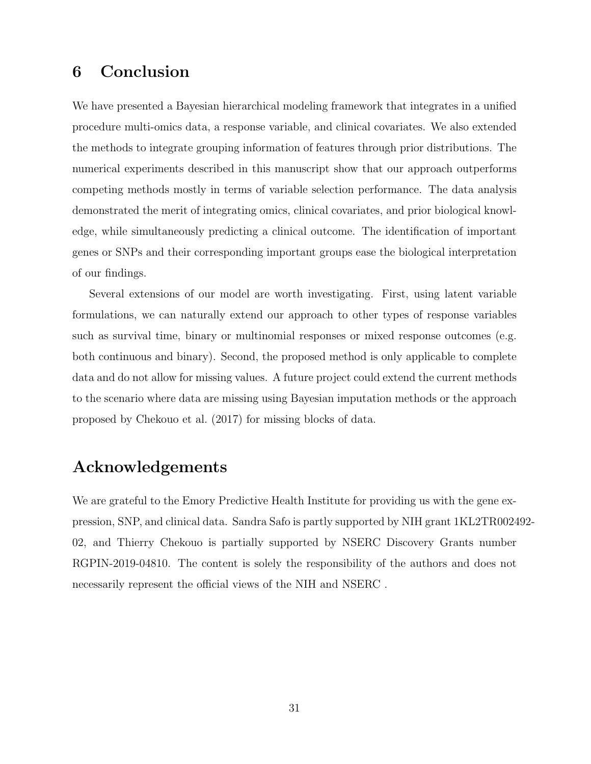## 6 Conclusion

We have presented a Bayesian hierarchical modeling framework that integrates in a unified procedure multi-omics data, a response variable, and clinical covariates. We also extended the methods to integrate grouping information of features through prior distributions. The numerical experiments described in this manuscript show that our approach outperforms competing methods mostly in terms of variable selection performance. The data analysis demonstrated the merit of integrating omics, clinical covariates, and prior biological knowledge, while simultaneously predicting a clinical outcome. The identification of important genes or SNPs and their corresponding important groups ease the biological interpretation of our findings.

Several extensions of our model are worth investigating. First, using latent variable formulations, we can naturally extend our approach to other types of response variables such as survival time, binary or multinomial responses or mixed response outcomes (e.g. both continuous and binary). Second, the proposed method is only applicable to complete data and do not allow for missing values. A future project could extend the current methods to the scenario where data are missing using Bayesian imputation methods or the approach proposed by Chekouo et al. (2017) for missing blocks of data.

## Acknowledgements

We are grateful to the Emory Predictive Health Institute for providing us with the gene expression, SNP, and clinical data. Sandra Safo is partly supported by NIH grant 1KL2TR002492- 02, and Thierry Chekouo is partially supported by NSERC Discovery Grants number RGPIN-2019-04810. The content is solely the responsibility of the authors and does not necessarily represent the official views of the NIH and NSERC .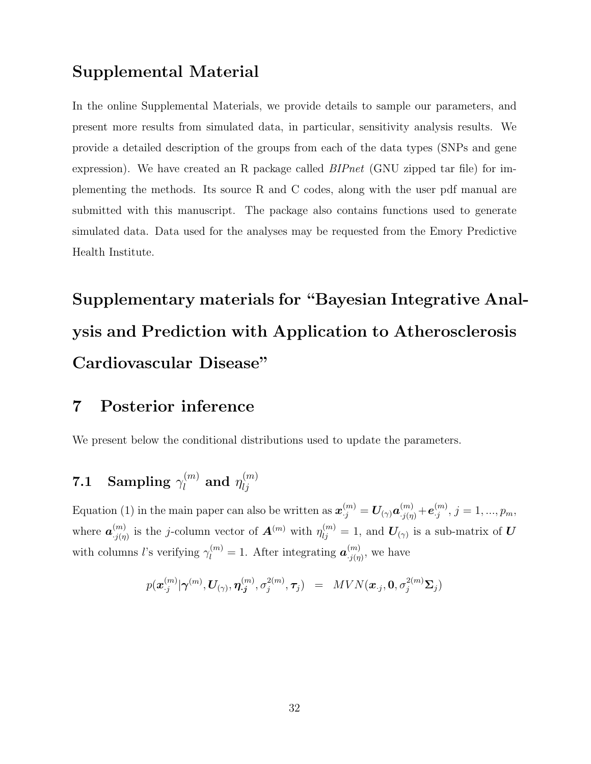## Supplemental Material

In the online Supplemental Materials, we provide details to sample our parameters, and present more results from simulated data, in particular, sensitivity analysis results. We provide a detailed description of the groups from each of the data types (SNPs and gene expression). We have created an R package called  $BIPnet$  (GNU zipped tar file) for implementing the methods. Its source R and C codes, along with the user pdf manual are submitted with this manuscript. The package also contains functions used to generate simulated data. Data used for the analyses may be requested from the Emory Predictive Health Institute.

# Supplementary materials for "Bayesian Integrative Analysis and Prediction with Application to Atherosclerosis Cardiovascular Disease"

## 7 Posterior inference

We present below the conditional distributions used to update the parameters.

#### 7.1 Sampling  $\gamma_l^{(m)}$  $\eta_{l}^{(m)}$  and  $\eta_{lj}^{(m)}$ lj

Equation (1) in the main paper can also be written as  $\bm{x}_{\cdot j}^{(m)} = \bm{U}_{(\gamma)} \bm{a}_{\cdot j(\eta)}^{(m)} + \bm{e}_{\cdot j}^{(m)}$  $j^{(m)}$ ,  $j = 1, ..., p_m$ , where  $\boldsymbol{a}_{\cdot i(n)}^{(m)}$  $\mathcal{L}_{j(\eta)}^{(m)}$  is the j-column vector of  $\mathbf{A}^{(m)}$  with  $\eta_{lj}^{(m)} = 1$ , and  $\mathbf{U}_{(\gamma)}$  is a sub-matrix of  $\mathbf{U}$ with columns l's verifying  $\gamma_l^{(m)} = 1$ . After integrating  $a_{j(\eta)}^{(m)}$  $\binom{m}{j(\eta)}$ , we have

$$
p(\boldsymbol{x}^{(m)}_{\cdot j}|\boldsymbol{\gamma}^{(m)},\boldsymbol{U}_{(\gamma)},\boldsymbol{\eta}^{(m)}_{\cdot j},\sigma^{2(m)}_{j},\boldsymbol{\tau}_j) \ \ = \ \ MVN(\boldsymbol{x}_{\cdot j},\boldsymbol{0},\sigma^{2(m)}_{j}\boldsymbol{\Sigma}_{j})
$$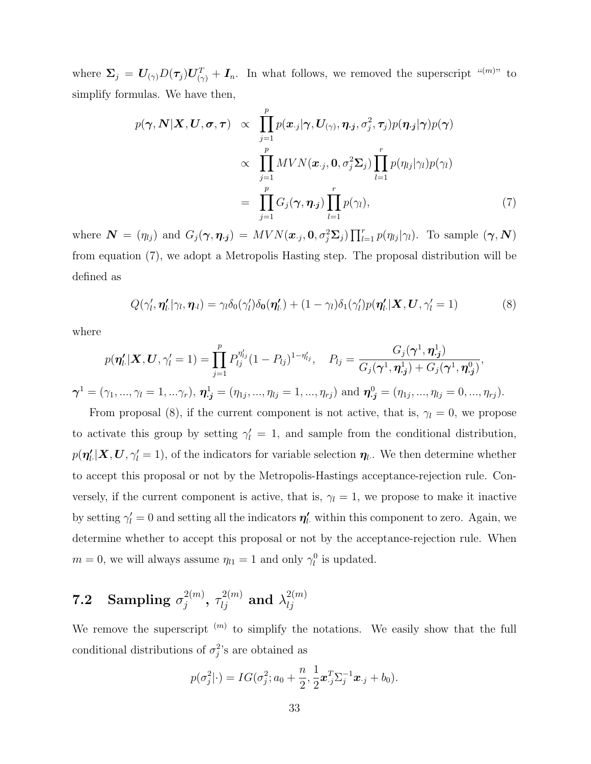where  $\Sigma_j = U_{(\gamma)} D(\tau_j) U_{(\gamma)}^T + I_n$ . In what follows, we removed the superscript "(m)" to simplify formulas. We have then,

$$
p(\boldsymbol{\gamma}, \mathbf{N} | \mathbf{X}, \mathbf{U}, \boldsymbol{\sigma}, \boldsymbol{\tau}) \propto \prod_{j=1}^{p} p(\mathbf{x}_{\cdot j} | \boldsymbol{\gamma}, \mathbf{U}_{(\boldsymbol{\gamma})}, \boldsymbol{\eta}_{\cdot j}, \sigma_j^2, \boldsymbol{\tau}_j) p(\boldsymbol{\eta}_{\cdot j} | \boldsymbol{\gamma}) p(\boldsymbol{\gamma})
$$

$$
\propto \prod_{j=1}^{p} MVN(\mathbf{x}_{\cdot j}, \mathbf{0}, \sigma_j^2 \boldsymbol{\Sigma}_j) \prod_{l=1}^{r} p(\eta_{lj} | \gamma_l) p(\gamma_l)
$$

$$
= \prod_{j=1}^{p} G_j(\boldsymbol{\gamma}, \boldsymbol{\eta}_{\cdot j}) \prod_{l=1}^{r} p(\gamma_l), \qquad (7)
$$

where  $\mathbf{N} = (\eta_{lj})$  and  $G_j(\gamma, \eta_{\cdot j}) = MVN(\boldsymbol{x}_{\cdot j}, \boldsymbol{0}, \sigma_j^2 \boldsymbol{\Sigma}_j) \prod_{l=1}^r p(\eta_{lj}|\gamma_l)$ . To sample  $(\gamma, \mathbf{N})$ from equation (7), we adopt a Metropolis Hasting step. The proposal distribution will be defined as

$$
Q(\gamma'_l, \eta'_l.|\gamma_l, \eta_l) = \gamma_l \delta_0(\gamma'_l) \delta_0(\eta'_l. + (1 - \gamma_l) \delta_1(\gamma'_l) p(\eta'_l. | \mathbf{X}, \mathbf{U}, \gamma'_l = 1)
$$
\n(8)

where

 $\boldsymbol{\gamma}^{1}$ 

$$
p(\boldsymbol{\eta}'_l|\boldsymbol{X},\boldsymbol{U},\gamma'_l=1)=\prod_{j=1}^p P_{lj}^{\eta'_{lj}}(1-P_{lj})^{1-\eta'_{lj}},\quad P_{lj}=\frac{G_j(\boldsymbol{\gamma}^1,\boldsymbol{\eta}^1_{\boldsymbol{j}})}{G_j(\boldsymbol{\gamma}^1,\boldsymbol{\eta}^1_{\boldsymbol{j}})+G_j(\boldsymbol{\gamma}^1,\boldsymbol{\eta}^0_{\boldsymbol{j}})},
$$
  

$$
T=(\gamma_1,...,\gamma_l=1,...\gamma_r),\ \boldsymbol{\eta}^1_{\boldsymbol{j}}=(\eta_{1j},...,\eta_{lj}=1,...,\eta_{rj})\text{ and }\boldsymbol{\eta}^0_{\boldsymbol{j}}=(\eta_{1j},...,\eta_{lj}=0,...,\eta_{rj}).
$$

From proposal (8), if the current component is not active, that is,  $\gamma_l = 0$ , we propose to activate this group by setting  $\gamma' = 1$ , and sample from the conditional distribution,  $p(\eta'_{l.}|\bm{X},\bm{U},\gamma'_{l}=1)$ , of the indicators for variable selection  $\eta_{l.}$ . We then determine whether to accept this proposal or not by the Metropolis-Hastings acceptance-rejection rule. Conversely, if the current component is active, that is,  $\gamma_l = 1$ , we propose to make it inactive by setting  $\gamma'_{l} = 0$  and setting all the indicators  $\eta'_{l}$ , within this component to zero. Again, we determine whether to accept this proposal or not by the acceptance-rejection rule. When  $m = 0$ , we will always assume  $\eta_{l1} = 1$  and only  $\gamma_l^0$  is updated.

#### **7.2** Sampling  $\sigma_i^{2(m)}$  $\hat{\tau}^{2(m)}_{j},~\tau^{2(m)}_{lj}$  and  $\lambda^{2(m)}_{lj}$ lj

We remove the superscript  $(m)$  to simplify the notations. We easily show that the full conditional distributions of  $\sigma_j^2$ 's are obtained as

$$
p(\sigma_j^2|\cdot) = IG(\sigma_j^2; a_0 + \frac{n}{2}, \frac{1}{2}\boldsymbol{x}_{\cdot j}^T \Sigma_j^{-1} \boldsymbol{x}_{\cdot j} + b_0).
$$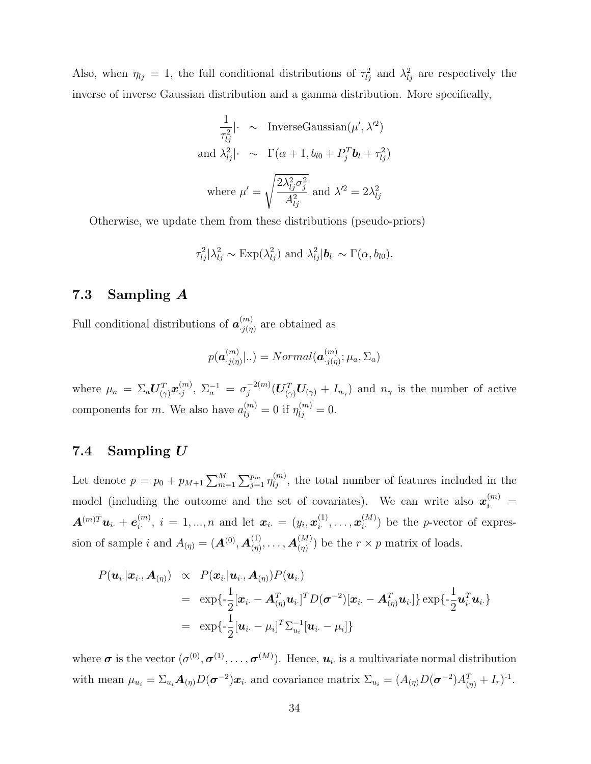Also, when  $\eta_{lj} = 1$ , the full conditional distributions of  $\tau_{lj}^2$  and  $\lambda_{lj}^2$  are respectively the inverse of inverse Gaussian distribution and a gamma distribution. More specifically,

$$
\frac{1}{\tau_{lj}^2}|\cdot \sim \text{InverseGaussian}(\mu', \lambda'^2)
$$
\nand 
$$
\lambda_{lj}^2|\cdot \sim \Gamma(\alpha + 1, b_{l0} + P_j^T b_l + \tau_{lj}^2)
$$
\nwhere 
$$
\mu' = \sqrt{\frac{2\lambda_{lj}^2 \sigma_j^2}{A_{lj}^2}}
$$
 and 
$$
\lambda'^2 = 2\lambda_{lj}^2
$$

Otherwise, we update them from these distributions (pseudo-priors)

$$
\tau_{lj}^2 |\lambda_{lj}^2 \sim \text{Exp}(\lambda_{lj}^2)
$$
 and  $\lambda_{lj}^2 |\boldsymbol{b}_l \sim \Gamma(\alpha, b_{l0})$ .

#### 7.3 Sampling A

Full conditional distributions of  $\boldsymbol{a}_{i(n)}^{(m)}$  $\binom{m}{j(\eta)}$  are obtained as

$$
p(\boldsymbol{a}_{\cdot j(\eta)}^{(m)}|..) = Normal(\boldsymbol{a}_{\cdot j(\eta)}^{(m)};\mu_a,\Sigma_a)
$$

where  $\mu_a = \Sigma_a \boldsymbol{U}_{(\gamma)}^T \boldsymbol{x}_{\cdot j}^{(m)}$  $\lambda_j^{(m)},\;\Sigma_a^{-1}\,=\,\sigma_j^{-2(m)}$  $j^{-(2(m)}(U_{(\gamma)}^T U_{(\gamma)} + I_{n_{\gamma}})$  and  $n_{\gamma}$  is the number of active components for m. We also have  $a_{lj}^{(m)} = 0$  if  $\eta_{lj}^{(m)} = 0$ .

### 7.4 Sampling  $U$

Let denote  $p = p_0 + p_{M+1} \sum_{m=1}^{M} \sum_{j=1}^{p_m} \eta_{lj}^{(m)}$ , the total number of features included in the model (including the outcome and the set of covariates). We can write also  $\mathbf{x}_{i}^{(m)} =$  $\boldsymbol{A}^{(m)T}\boldsymbol{u}_{i\cdot} + \boldsymbol{e}_{i\cdot}^{(m)}$  $\hat{u}_i^{(m)}$ ,  $i = 1, ..., n$  and let  $\boldsymbol{x}_{i \cdot} = (y_i, \boldsymbol{x}_{i \cdot}^{(1)})$  $\bm{x}^{(1)}_i,\ldots,\bm{x}^{(M)}_i$  $\binom{[M]}{i}$  be the *p*-vector of expression of sample i and  $A_{(\eta)} = (A^{(0)}, A^{(1)}_{(\eta)})$  $\mathcal{A}_{(\eta)}^{(1)},\ldots,\mathcal{A}_{(\eta)}^{(M)}$  $\binom{M}{n}$  be the  $r \times p$  matrix of loads.

$$
P(\boldsymbol{u}_i|\boldsymbol{x}_i, \boldsymbol{A}_{(\eta)}) \propto P(\boldsymbol{x}_i|\boldsymbol{u}_i, \boldsymbol{A}_{(\eta)}) P(\boldsymbol{u}_i)
$$
  
\n
$$
= \exp\{-\frac{1}{2}[\boldsymbol{x}_i - \boldsymbol{A}_{(\eta)}^T \boldsymbol{u}_i]^T D(\boldsymbol{\sigma}^{-2}) [\boldsymbol{x}_i - \boldsymbol{A}_{(\eta)}^T \boldsymbol{u}_i] \} \exp\{-\frac{1}{2} \boldsymbol{u}_i^T \boldsymbol{u}_i\}
$$
  
\n
$$
= \exp\{-\frac{1}{2}[\boldsymbol{u}_i - \mu_i]^T \Sigma_{u_i}^{-1} [\boldsymbol{u}_i - \mu_i] \}
$$

where  $\sigma$  is the vector  $(\sigma^{(0)}, \sigma^{(1)}, \ldots, \sigma^{(M)})$ . Hence,  $u_i$  is a multivariate normal distribution with mean  $\mu_{u_i} = \sum_{u_i} \mathbf{A}_{(\eta)} D(\boldsymbol{\sigma}^{-2}) \mathbf{x}_i$  and covariance matrix  $\Sigma_{u_i} = (A_{(\eta)} D(\boldsymbol{\sigma}^{-2}) A_{(\eta)}^T + I_r)^{-1}$ .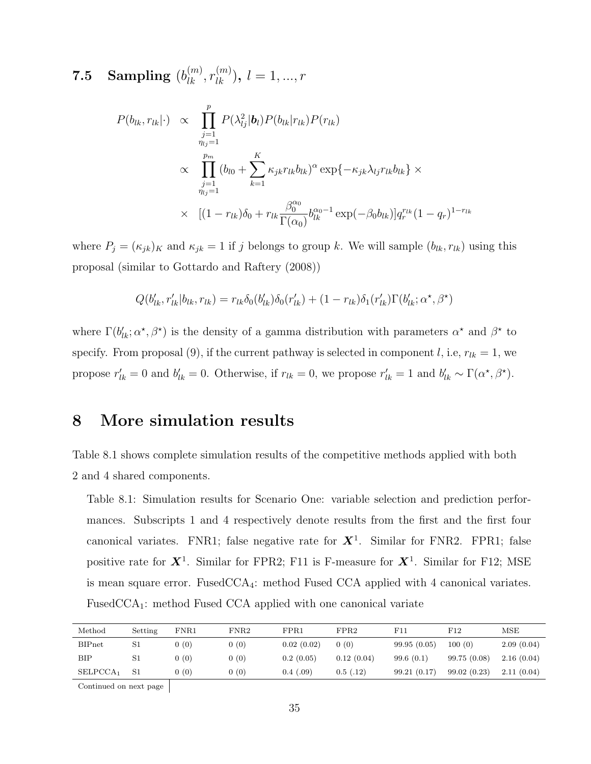# $\textbf{7.5} \quad \textbf{Sampling} \,\, (b_{lk}^{(m)}, r_{lk}^{(m)}), \, l = 1, ..., r$

$$
P(b_{lk}, r_{lk}|\cdot) \propto \prod_{\substack{j=1 \ j_l=1}}^p P(\lambda_{lj}^2 | \mathbf{b}_l) P(b_{lk} | r_{lk}) P(r_{lk})
$$
  
 
$$
\propto \prod_{\substack{j=1 \ j_l=1}}^{p_m} (b_{l0} + \sum_{k=1}^K \kappa_{jk} r_{lk} b_{lk})^{\alpha} \exp\{-\kappa_{jk} \lambda_{lj} r_{lk} b_{lk}\} \times
$$
  
 
$$
\times \left[ (1 - r_{lk}) \delta_0 + r_{lk} \frac{\beta_0^{\alpha_0}}{\Gamma(\alpha_0)} b_{lk}^{\alpha_0 - 1} \exp(-\beta_0 b_{lk}) \right] q_r^{r_{lk}} (1 - q_r)^{1 - r_{lk}}
$$

where  $P_j = (\kappa_{jk})_K$  and  $\kappa_{jk} = 1$  if j belongs to group k. We will sample  $(b_{lk}, r_{lk})$  using this proposal (similar to Gottardo and Raftery (2008))

$$
Q(b'_{lk}, r'_{lk}|b_{lk}, r_{lk}) = r_{lk}\delta_0(b'_{lk})\delta_0(r'_{lk}) + (1 - r_{lk})\delta_1(r'_{lk})\Gamma(b'_{lk}; \alpha^*, \beta^*)
$$

where  $\Gamma(b'_{lk}; \alpha^*, \beta^*)$  is the density of a gamma distribution with parameters  $\alpha^*$  and  $\beta^*$  to specify. From proposal (9), if the current pathway is selected in component l, i.e,  $r_{lk} = 1$ , we propose  $r'_{lk} = 0$  and  $b'_{lk} = 0$ . Otherwise, if  $r_{lk} = 0$ , we propose  $r'_{lk} = 1$  and  $b'_{lk} \sim \Gamma(\alpha^*, \beta^*)$ .

## 8 More simulation results

Table 8.1 shows complete simulation results of the competitive methods applied with both 2 and 4 shared components.

Table 8.1: Simulation results for Scenario One: variable selection and prediction performances. Subscripts 1 and 4 respectively denote results from the first and the first four canonical variates. FNR1; false negative rate for  $X^1$ . Similar for FNR2. FPR1; false positive rate for  $X^1$ . Similar for FPR2; F11 is F-measure for  $X^1$ . Similar for F12; MSE is mean square error. FusedCCA4: method Fused CCA applied with 4 canonical variates. FusedCCA<sub>1</sub>: method Fused CCA applied with one canonical variate

| Method               | Setting     | $\rm FNR1$ | FNR2 | FPR1       | FPR2       | F11         | F12         | MSE        |
|----------------------|-------------|------------|------|------------|------------|-------------|-------------|------------|
| <b>BIPnet</b>        | S1          | 0(0)       | 0(0) | 0.02(0.02) | 0(0)       | 99.95(0.05) | 100(0)      | 2.09(0.04) |
| ВIР                  | S1          | 0(0)       | 0(0) | 0.2(0.05)  | 0.12(0.04) | 99.6(0.1)   | 99.75(0.08) | 2.16(0.04) |
| SELPCCA <sub>1</sub> | $^{\rm S1}$ | 0(0)       | 0(0) | 0.4(0.09)  | 0.5(0.12)  | 99.21(0.17) | 99.02(0.23) | 2.11(0.04) |
|                      |             |            |      |            |            |             |             |            |

Continued on next page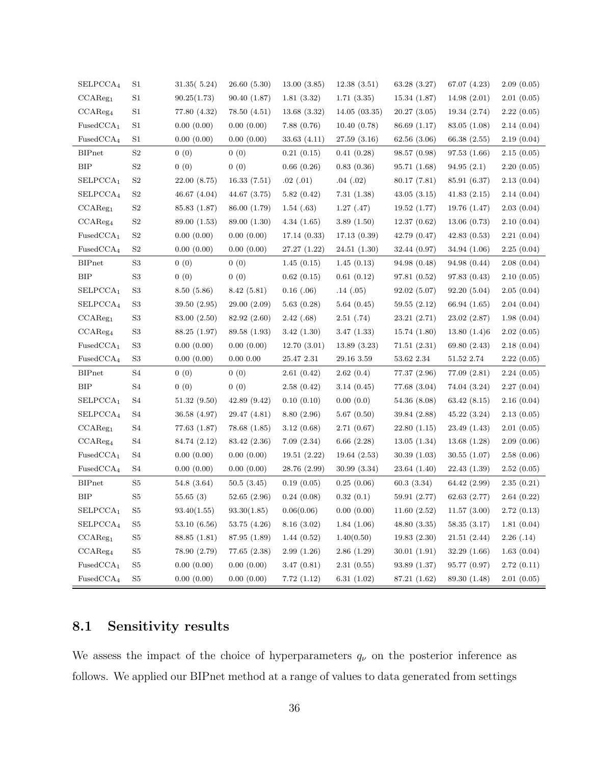| SELPCCA <sub>4</sub>               | $^{\rm S1}$         | 31.35(5.24)  | 26.60 (5.30) | 13.00(3.85)  | 12.38(3.51)  | 63.28 (3.27) | 67.07 (4.23)                | 2.09(0.05) |
|------------------------------------|---------------------|--------------|--------------|--------------|--------------|--------------|-----------------------------|------------|
| CCAReg <sub>1</sub>                | S1                  | 90.25(1.73)  | 90.40(1.87)  | 1.81(3.32)   | 1.71(3.35)   | 15.34(1.87)  | 14.98(2.01)                 | 2.01(0.05) |
| CCAReg <sub>4</sub>                | S <sub>1</sub>      | 77.80 (4.32) | 78.50(4.51)  | 13.68(3.32)  | 14.05(03.35) | 20.27(3.05)  | 19.34(2.74)                 | 2.22(0.05) |
| FusedCCA <sub>1</sub>              | S <sub>1</sub>      | 0.00(0.00)   | 0.00(0.00)   | 7.88(0.76)   | 10.40(0.78)  | 86.69 (1.17) | 83.05 (1.08)                | 2.14(0.04) |
| FusedCCA <sub>4</sub>              | S1                  | 0.00(0.00)   | 0.00(0.00)   | 33.63(4.11)  | 27.59(3.16)  | 62.56 (3.06) | 66.38 (2.55)                | 2.19(0.04) |
| <b>BIPnet</b>                      | S2                  | 0(0)         | 0(0)         | 0.21(0.15)   | 0.41(0.28)   | 98.57 (0.98) | 97.53(1.66)                 | 2.15(0.05) |
| <b>BIP</b>                         | S2                  | 0(0)         | 0(0)         | 0.66(0.26)   | 0.83(0.36)   | 95.71 (1.68) | 94.95(2.1)                  | 2.20(0.05) |
| SELPCCA <sub>1</sub>               | S <sub>2</sub>      | 22.00 (8.75) | 16.33(7.51)  | .02(.01)     | .04(.02)     | 80.17 (7.81) | 85.91 (6.37)                | 2.13(0.04) |
| SELPCCA <sub>4</sub>               | S2                  | 46.67(4.04)  | 44.67(3.75)  | 5.82(0.42)   | 7.31(1.38)   | 43.05(3.15)  | 41.83(2.15)                 | 2.14(0.04) |
| CCAReg <sub>1</sub>                | $\rm S2$            | 85.83 (1.87) | 86.00 (1.79) | 1.54(0.63)   | 1.27(0.47)   | 19.52 (1.77) | 19.76 (1.47)                | 2.03(0.04) |
| CCAReg <sub>4</sub>                | S <sub>2</sub>      | 89.00 (1.53) | 89.00 (1.30) | 4.34(1.65)   | 3.89(1.50)   | 12.37(0.62)  | 13.06(0.73)                 | 2.10(0.04) |
| FusedCCA <sub>1</sub>              | S <sub>2</sub>      | 0.00(0.00)   | 0.00(0.00)   | 17.14(0.33)  | 17.13(0.39)  | 42.79(0.47)  | 42.83(0.53)                 | 2.21(0.04) |
| FusedCCA <sub>4</sub>              | S <sub>2</sub>      | 0.00(0.00)   | 0.00(0.00)   | 27.27(1.22)  | 24.51(1.30)  | 32.44(0.97)  | 34.94 (1.06)                | 2.25(0.04) |
| <b>BIPnet</b>                      | $\rm S3$            | 0(0)         | 0(0)         | 1.45(0.15)   | 1.45(0.13)   | 94.98 (0.48) | 94.98 (0.44)                | 2.08(0.04) |
| <b>BIP</b>                         | S3                  | 0(0)         | 0(0)         | 0.62(0.15)   | 0.61(0.12)   | 97.81(0.52)  | 97.83(0.43)                 | 2.10(0.05) |
| SELPCCA <sub>1</sub>               | S <sub>3</sub>      | 8.50(5.86)   | 8.42 (5.81)  | $0.16$ (.06) | .14(.05)     | 92.02(5.07)  | 92.20 (5.04)                | 2.05(0.04) |
| SELPCCA <sub>4</sub>               | S3                  | 39.50(2.95)  | 29.00(2.09)  | 5.63(0.28)   | 5.64(0.45)   | 59.55(2.12)  | 66.94 (1.65)                | 2.04(0.04) |
| CCAReg <sub>1</sub>                | $\rm S3$            | 83.00 (2.50) | 82.92 (2.60) | 2.42(0.68)   | 2.51(0.74)   | 23.21(2.71)  | 23.02(2.87)                 | 1.98(0.04) |
| CCAReg <sub>4</sub>                | S <sub>3</sub>      | 88.25 (1.97) | 89.58 (1.93) | 3.42(1.30)   | 3.47(1.33)   | 15.74(1.80)  | 13.80(1.4)6                 | 2.02(0.05) |
| FusedCCA <sub>1</sub>              | S <sub>3</sub>      | 0.00(0.00)   | 0.00(0.00)   | 12.70(3.01)  | 13.89(3.23)  | 71.51(2.31)  | 69.80 (2.43)                | 2.18(0.04) |
| FusedCCA <sub>4</sub>              | S3                  | 0.00(0.00)   | $0.00\ 0.00$ | 25.47 2.31   | 29.16 3.59   | 53.62 2.34   | 51.52 2.74                  | 2.22(0.05) |
| <b>BIPnet</b>                      | S <sub>4</sub>      | 0(0)         | 0(0)         | 2.61(0.42)   | 2.62(0.4)    | 77.37 (2.96) | 77.09 (2.81)                | 2.24(0.05) |
| <b>BIP</b>                         | S4                  | 0(0)         | 0(0)         | 2.58(0.42)   | 3.14(0.45)   | 77.68 (3.04) | 74.04 (3.24)                | 2.27(0.04) |
| SELPCCA <sub>1</sub>               | S4                  | 51.32(9.50)  | 42.89(9.42)  | 0.10(0.10)   | 0.00(0.0)    | 54.36 (8.08) | 63.42(8.15)                 | 2.16(0.04) |
| SELPCCA <sub>4</sub>               | S4                  | 36.58 (4.97) | 29.47 (4.81) | 8.80(2.96)   | 5.67(0.50)   | 39.84 (2.88) | 45.22(3.24)                 | 2.13(0.05) |
| CCAReg <sub>1</sub>                | S4                  | 77.63(1.87)  | 78.68 (1.85) | 3.12(0.68)   | 2.71(0.67)   | 22.80(1.15)  | 23.49 (1.43)                | 2.01(0.05) |
| CCAReg <sub>4</sub>                | S4                  | 84.74 (2.12) | 83.42 (2.36) | 7.09(2.34)   | 6.66(2.28)   | 13.05(1.34)  | 13.68(1.28)                 | 2.09(0.06) |
| FusedCCA <sub>1</sub>              | S4                  | 0.00(0.00)   | 0.00(0.00)   | 19.51(2.22)  | 19.64(2.53)  | 30.39(1.03)  | 30.55(1.07)                 | 2.58(0.06) |
| FusedCCA <sub>4</sub>              | S4                  | 0.00(0.00)   | 0.00(0.00)   | 28.76 (2.99) | 30.99(3.34)  | 23.64(1.40)  | 22.43 (1.39)                | 2.52(0.05) |
| <b>BIPnet</b>                      | S5                  | 54.8(3.64)   | 50.5(3.45)   | 0.19(0.05)   | 0.25(0.06)   | 60.3 (3.34)  | 64.42 (2.99)                | 2.35(0.21) |
| BIP                                | S5                  | 55.65(3)     | 52.65(2.96)  | 0.24(0.08)   | 0.32(0.1)    | 59.91 (2.77) | 62.63(2.77)                 | 2.64(0.22) |
| $SELPCCA_1$                        | $\operatorname{S5}$ | 93.40(1.55)  | 93.30(1.85)  | 0.06(0.06)   | 0.00(0.00)   |              | $11.60(2.52)$ $11.57(3.00)$ | 2.72(0.13) |
| SELPCCA <sub>4</sub>               | S5                  | 53.10(6.56)  | 53.75(4.26)  | 8.16(3.02)   | 1.84(1.06)   | 48.80(3.35)  | 58.35(3.17)                 | 1.81(0.04) |
| CCAReg <sub>1</sub>                | $\operatorname{S5}$ | 88.85 (1.81) | 87.95 (1.89) | 1.44(0.52)   | 1.40(0.50)   | 19.83(2.30)  | 21.51(2.44)                 | 2.26(.14)  |
| CCAReg <sub>4</sub>                | $\operatorname{S5}$ | 78.90 (2.79) | 77.65(2.38)  | 2.99(1.26)   | 2.86(1.29)   | 30.01(1.91)  | 32.29(1.66)                 | 1.63(0.04) |
| FusedCCA <sub>1</sub>              | $\rm S5$            | 0.00(0.00)   | 0.00(0.00)   | 3.47(0.81)   | 2.31(0.55)   | 93.89 (1.37) | 95.77 (0.97)                | 2.72(0.11) |
| $\ensuremath{\mathsf{FusedCCA}}_4$ | $\rm S5$            | 0.00(0.00)   | 0.00(0.00)   | 7.72(1.12)   | 6.31(1.02)   | 87.21 (1.62) | 89.30 (1.48)                | 2.01(0.05) |

## 8.1 Sensitivity results

We assess the impact of the choice of hyperparameters  $q_{\nu}$  on the posterior inference as follows. We applied our BIPnet method at a range of values to data generated from settings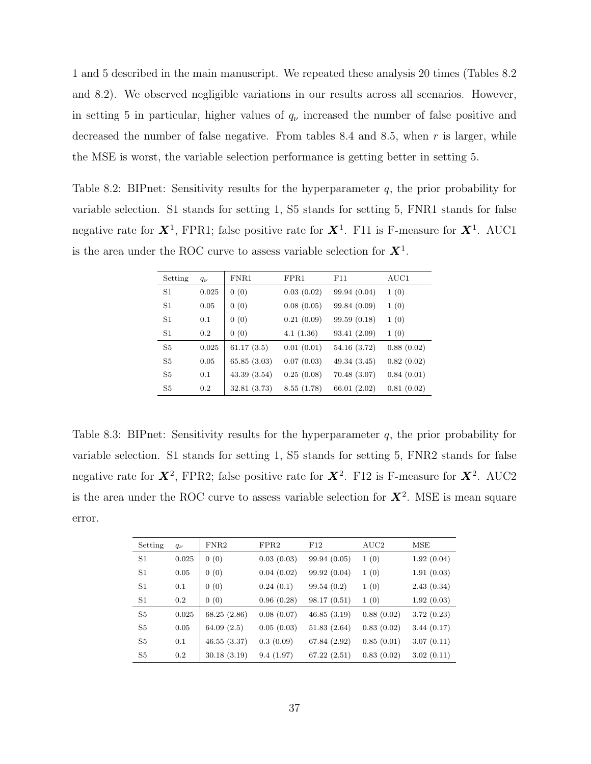1 and 5 described in the main manuscript. We repeated these analysis 20 times (Tables 8.2 and 8.2). We observed negligible variations in our results across all scenarios. However, in setting 5 in particular, higher values of  $q_{\nu}$  increased the number of false positive and decreased the number of false negative. From tables 8.4 and 8.5, when r is larger, while the MSE is worst, the variable selection performance is getting better in setting 5.

Table 8.2: BIPnet: Sensitivity results for the hyperparameter  $q$ , the prior probability for variable selection. S1 stands for setting 1, S5 stands for setting 5, FNR1 stands for false negative rate for  $X^1$ , FPR1; false positive rate for  $X^1$ . F11 is F-measure for  $X^1$ . AUC1 is the area under the ROC curve to assess variable selection for  $X^1$ .

| Setting        | $q_{\nu}$ | FNR1         | FPR1       | F11          | AUC1       |
|----------------|-----------|--------------|------------|--------------|------------|
| S <sub>1</sub> | 0.025     | 0(0)         | 0.03(0.02) | 99.94 (0.04) | 1(0)       |
| S <sub>1</sub> | 0.05      | 0(0)         | 0.08(0.05) | 99.84 (0.09) | 1(0)       |
| S <sub>1</sub> | 0.1       | 0(0)         | 0.21(0.09) | 99.59(0.18)  | 1(0)       |
| S1             | 0.2       | 0(0)         | 4.1(1.36)  | 93.41 (2.09) | 1(0)       |
| S <sub>5</sub> | 0.025     | 61.17(3.5)   | 0.01(0.01) | 54.16(3.72)  | 0.88(0.02) |
| S <sub>5</sub> | 0.05      | 65.85(3.03)  | 0.07(0.03) | 49.34(3.45)  | 0.82(0.02) |
| S5             | 0.1       | 43.39(3.54)  | 0.25(0.08) | 70.48(3.07)  | 0.84(0.01) |
| S5             | 0.2       | 32.81 (3.73) | 8.55(1.78) | 66.01 (2.02) | 0.81(0.02) |

Table 8.3: BIPnet: Sensitivity results for the hyperparameter  $q$ , the prior probability for variable selection. S1 stands for setting 1, S5 stands for setting 5, FNR2 stands for false negative rate for  $X^2$ , FPR2; false positive rate for  $X^2$ . F12 is F-measure for  $X^2$ . AUC2 is the area under the ROC curve to assess variable selection for  $X^2$ . MSE is mean square error.

| Setting | $q_{\nu}$ | FNR2          | FPR2       | F12          | $\rm AUC2$ | MSE        |
|---------|-----------|---------------|------------|--------------|------------|------------|
| S1      | 0.025     | 0(0)          | 0.03(0.03) | 99.94 (0.05) | 1(0)       | 1.92(0.04) |
| S1      | 0.05      | 0(0)          | 0.04(0.02) | 99.92(0.04)  | 1(0)       | 1.91(0.03) |
| S1      | 0.1       | 0(0)          | 0.24(0.1)  | 99.54(0.2)   | 1(0)       | 2.43(0.34) |
| S1      | 0.2       | 0(0)          | 0.96(0.28) | 98.17(0.51)  | 1(0)       | 1.92(0.03) |
| S5      | 0.025     | 68.25 (2.86)  | 0.08(0.07) | 46.85(3.19)  | 0.88(0.02) | 3.72(0.23) |
| S5      | 0.05      | 64.09 $(2.5)$ | 0.05(0.03) | 51.83(2.64)  | 0.83(0.02) | 3.44(0.17) |
| S5      | 0.1       | 46.55(3.37)   | 0.3(0.09)  | 67.84 (2.92) | 0.85(0.01) | 3.07(0.11) |
| S5      | 0.2       | 30.18(3.19)   | 9.4(1.97)  | 67.22(2.51)  | 0.83(0.02) | 3.02(0.11) |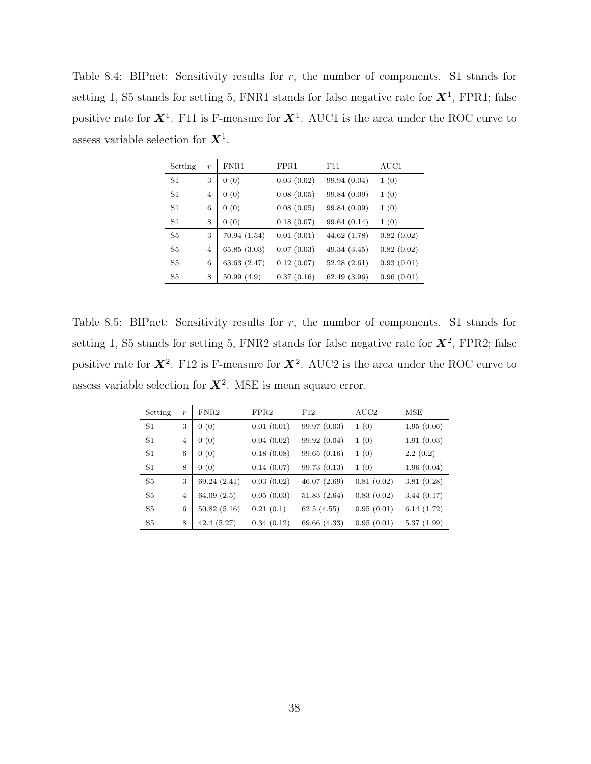Table 8.4: BIPnet: Sensitivity results for  $r$ , the number of components. S1 stands for setting 1, S5 stands for setting 5, FNR1 stands for false negative rate for  $X^1$ , FPR1; false positive rate for  $X^1$ . F11 is F-measure for  $X^1$ . AUC1 is the area under the ROC curve to assess variable selection for  $X^1$ .

| Setting        | $\boldsymbol{r}$ | FNR1         | FPR1       | F11          | AUC1       |
|----------------|------------------|--------------|------------|--------------|------------|
| S <sub>1</sub> | 3                | 0(0)         | 0.03(0.02) | 99.94 (0.04) | 1(0)       |
| S <sub>1</sub> | $\overline{4}$   | 0(0)         | 0.08(0.05) | 99.84 (0.09) | 1(0)       |
| S <sub>1</sub> | 6                | 0(0)         | 0.08(0.05) | 99.84 (0.09) | 1(0)       |
| S1             | 8                | 0(0)         | 0.18(0.07) | 99.64 (0.14) | 1(0)       |
| S <sub>5</sub> | 3                | 70.94 (1.54) | 0.01(0.01) | 44.62 (1.78) | 0.82(0.02) |
| S <sub>5</sub> | $\overline{4}$   | 65.85(3.03)  | 0.07(0.03) | 49.34 (3.45) | 0.82(0.02) |
| S <sub>5</sub> | 6                | 63.63(2.47)  | 0.12(0.07) | 52.28(2.61)  | 0.93(0.01) |
| S <sub>5</sub> | 8                | 50.99(4.9)   | 0.37(0.16) | 62.49 (3.96) | 0.96(0.01) |

Table 8.5: BIPnet: Sensitivity results for r, the number of components. S1 stands for setting 1, S5 stands for setting 5, FNR2 stands for false negative rate for  $\mathbf{X}^2$ , FPR2; false positive rate for  $X^2$ . F12 is F-measure for  $X^2$ . AUC2 is the area under the ROC curve to assess variable selection for  $X^2$ . MSE is mean square error.

| Setting        | $\boldsymbol{r}$ | FNR2        | FPR2       | F12          | AUC2       | MSE        |
|----------------|------------------|-------------|------------|--------------|------------|------------|
| S <sub>1</sub> | 3                | 0(0)        | 0.01(0.01) | 99.97(0.03)  | 1(0)       | 1.95(0.06) |
| S <sub>1</sub> | $\overline{4}$   | 0(0)        | 0.04(0.02) | 99.92 (0.04) | 1(0)       | 1.91(0.03) |
| S <sub>1</sub> | 6                | 0(0)        | 0.18(0.08) | 99.65(0.16)  | 1(0)       | 2.2(0.2)   |
| $^{\rm S1}$    | 8                | 0(0)        | 0.14(0.07) | 99.73(0.13)  | 1(0)       | 1.96(0.04) |
| S <sub>5</sub> | 3                | 69.24(2.41) | 0.03(0.02) | 46.07(2.69)  | 0.81(0.02) | 3.81(0.28) |
| S <sub>5</sub> | 4                | 64.09(2.5)  | 0.05(0.03) | 51.83(2.64)  | 0.83(0.02) | 3.44(0.17) |
| S <sub>5</sub> | 6                | 50.82(5.16) | 0.21(0.1)  | 62.5(4.55)   | 0.95(0.01) | 6.14(1.72) |
| S5             | 8                | 42.4(5.27)  | 0.34(0.12) | 69.66 (4.33) | 0.95(0.01) | 5.37(1.99) |
|                |                  |             |            |              |            |            |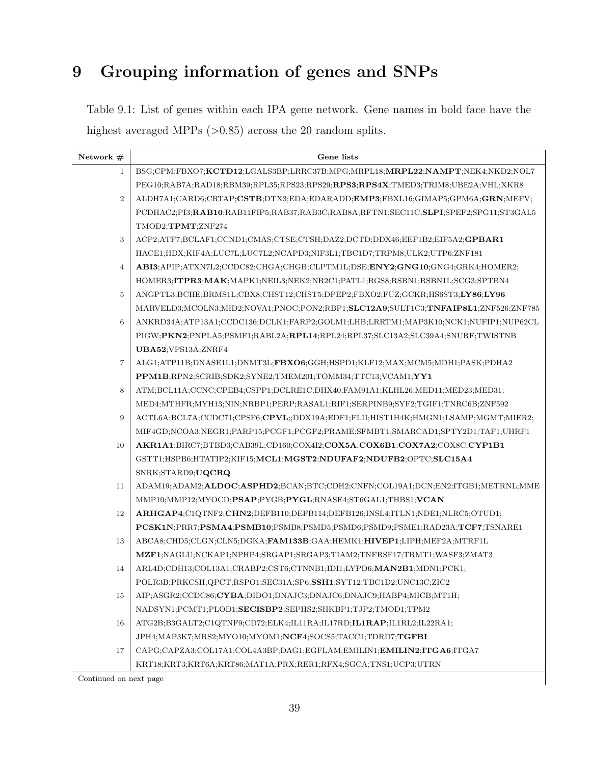# 9 Grouping information of genes and SNPs

Table 9.1: List of genes within each IPA gene network. Gene names in bold face have the highest averaged MPPs (>0.85) across the 20 random splits.

| Network $#$    | Gene lists                                                                          |
|----------------|-------------------------------------------------------------------------------------|
| $\mathbf{1}$   | BSG;CPM;FBXO7;KCTD12;LGALS3BP;LRRC37B;MPG;MRPL18;MRPL22;NAMPT;NEK4;NKD2;NOL7        |
|                | PEG10;RAB7A;RAD18;RBM39;RPL35;RPS23;RPS29;RPS3;RPS4X;TMED3;TRIM8;UBE2A;VHL;XKR8     |
| $\overline{2}$ | ALDH7A1;CARD6;CRTAP;CSTB;DTX3;EDA;EDARADD;EMP3;FBXL16;GIMAP5;GPM6A;GRN;MEFV;        |
|                | PCDHAC2;PI3;RAB10;RAB11FIP5;RAB37;RAB3C;RAB8A;RFTN1;SEC11C;SLPI;SPEF2;SPG11;ST3GAL5 |
|                | TMOD2;TPMT;ZNF274                                                                   |
| 3              | ACP2;ATF7;BCLAF1;CCND1;CMAS;CTSE;CTSH;DAZ2;DCTD;DDX46;EEF1B2;EIF5A2;GPBAR1          |
|                | HACE1;HDX;KIF4A;LUC7L;LUC7L2;NCAPD3;NIF3L1;TBC1D7;TRPM8;ULK2;UTP6;ZNF181            |
| $\overline{4}$ | ABI3;APIP;ATXN7L2;CCDC82;CHGA;CHGB;CLPTM1L;DSE;ENY2;GNG10;GNG4;GRK4;HOMER2;         |
|                | HOMER3;ITPR3;MAK;MAPK1;NEIL3;NEK2;NR2C1;PATL1;RGS8;RSBN1;RSBN1L;SCG3;SPTBN4         |
| $\overline{5}$ | ANGPTL3;BCHE;BRMS1L;CBX8;CHST12;CHST5;DPEP2;FBXO2;FUZ;GCKR;HS6ST3;LY86;LY96         |
|                | MARVELD3;MCOLN3;MID2;NOVA1;PNOC;PON2;RBP1;SLC12A9;SULT1C3;TNFAIP8L1;ZNF526;ZNF785   |
| 6              | ANKRD34A;ATP13A1;CCDC136;DCLK1;FARP2;GOLM1;LHB;LRRTM1;MAP3K10;NCK1;NUFIP1;NUP62CL   |
|                | PIGW;PKN2;PNPLA5;PSMF1;RABL2A;RPL14;RPL24;RPL37;SLC13A2;SLC39A4;SNURF;TWISTNB       |
|                | UBA52; VPS13A; ZNRF4                                                                |
| $\overline{7}$ | ALG1;ATP11B;DNASE1L1;DNMT3L;FBXO6;GGH;HSPD1;KLF12;MAX;MCM5;MDH1;PASK;PDHA2          |
|                | PPM1B;RPN2;SCRIB;SDK2;SYNE2;TMEM201;TOMM34;TTC13;VCAM1;YY1                          |
| 8              | ATM;BCL11A;CCNC;CPEB4;CSPP1;DCLRE1C;DHX40;FAM91A1;KLHL26;MED11;MED23;MED31;         |
|                | MED4;MTHFR;MYH13;NIN;NRBP1;PERP;RASAL1;RIF1;SERPINB9;SYF2;TGIF1;TNRC6B;ZNF592       |
| 9              | ACTL6A;BCL7A;CCDC71;CPSF6;CPVL;;DDX19A;EDF1;FLII;HIST1H4K;HMGN1;LSAMP;MGMT;MIER2;   |
|                | MIF4GD;NCOA3;NEGR1;PARP15;PCGF1;PCGF2;PRAME;SFMBT1;SMARCAD1;SPTY2D1;TAF1;UHRF1      |
| 10             | AKR1A1;BIRC7;BTBD3;CAB39L;CD160;COX4I2;COX5A;COX6B1;COX7A2;COX8C;CYP1B1             |
|                | GSTT1;HSPB6;HTATIP2;KIF15;MCL1;MGST2;NDUFAF2;NDUFB2;OPTC;SLC15A4                    |
|                | SNRK;STARD9;UQCRQ                                                                   |
| 11             | ADAM19;ADAM2;ALDOC;ASPHD2;BCAN;BTC;CDH2;CNFN;COL19A1;DCN;EN2;ITGB1;METRNL;MME       |
|                | MMP10;MMP12;MYOCD;PSAP;PYGB;PYGL;RNASE4;ST6GAL1;THBS1;VCAN                          |
| 12             | ARHGAP4;C1QTNF2;CHN2;DEFB110;DEFB114;DEFB126;INSL4;ITLN1;NDE1;NLRC5;OTUD1;          |
|                | PCSK1N;PRR7;PSMA4;PSMB10;PSMB8;PSMD5;PSMD6;PSMD9;PSME1;RAD23A;TCF7;TSNARE1          |
| 13             | ABCA8;CHD5;CLGN;CLN5;DGKA;FAM133B;GAA;HEMK1;HIVEP1;LIPH;MEF2A;MTRF1L                |
|                | MZF1;NAGLU;NCKAP1;NPHP4;SRGAP1;SRGAP3;TIAM2;TNFRSF17;TRMT1;WASF3;ZMAT3              |
| 14             | ARL4D;CDH13;COL13A1;CRABP2;CST6;CTNNB1;IDI1;LYPD6;MAN2B1;MDN1;PCK1;                 |
|                | POLR3B;PRKCSH;QPCT;RSPO1;SEC31A;SP6;SSH1;SYT12;TBC1D2;UNC13C;ZIC2                   |
| 15             | AIP;ASGR2;CCDC86;CYBA;DIDO1;DNAJC3;DNAJC6;DNAJC9;HABP4;MICB;MT1H;                   |
|                | NADSYN1;PCMT1;PLOD1;SECISBP2;SEPHS2;SHKBP1;TJP2;TMOD1;TPM2                          |
| 16             | ATG2B;B3GALT2;C1QTNF9;CD72;ELK4;IL11RA;IL17RD;IL1RAP;IL1RL2;IL22RA1;                |
|                | JPH4;MAP3K7;MRS2;MYO10;MYOM1;NCF4;SOCS5;TACC1;TDRD7;TGFBI                           |
| 17             | CAPG;CAPZA3;COL17A1;COL4A3BP;DAG1;EGFLAM;EMILIN1;EMILIN2;ITGA6;ITGA7                |
|                | KRT18;KRT3;KRT6A;KRT86;MAT1A;PRX;RER1;RFX4;SGCA;TNS1;UCP3;UTRN                      |

Continued on next page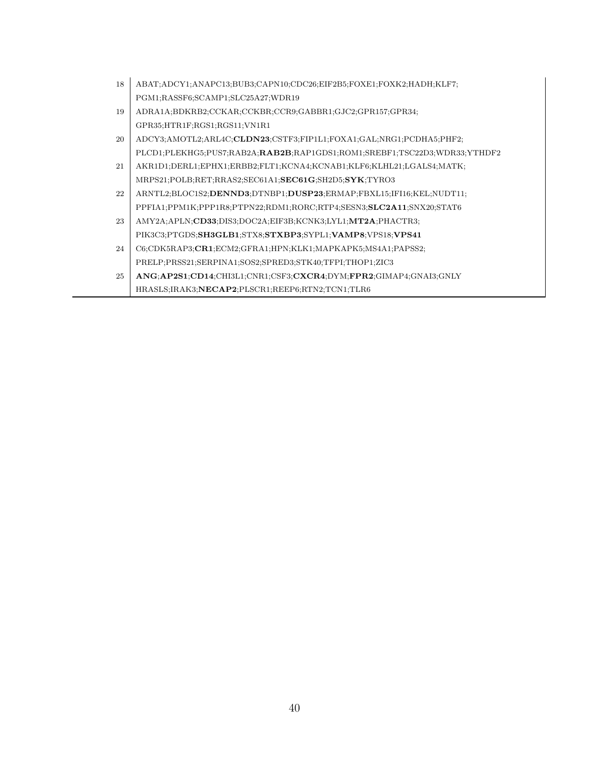| 18 | ABAT;ADCY1;ANAPC13;BUB3;CAPN10;CDC26;EIF2B5;FOXE1;FOXK2;HADH;KLF7;          |
|----|-----------------------------------------------------------------------------|
|    | PGM1;RASSF6;SCAMP1;SLC25A27;WDR19                                           |
| 19 | ADRA1A;BDKRB2;CCKAR;CCKBR;CCR9;GABBR1;GJC2;GPR157;GPR34;                    |
|    | GPR35;HTR1F;RGS1;RGS11;VN1R1                                                |
| 20 | ADCY3;AMOTL2;ARL4C; <b>CLDN23</b> ;CSTF3;FIP1L1;FOXA1;GAL;NRG1;PCDHA5;PHF2; |
|    | PLCD1;PLEKHG5;PUS7;RAB2A;RAB2B;RAP1GDS1;ROM1;SREBF1;TSC22D3;WDR33;YTHDF2    |
| 21 | AKR1D1;DERL1;EPHX1;ERBB2;FLT1;KCNA4;KCNAB1;KLF6;KLHL21;LGALS4;MATK;         |
|    | MRPS21;POLB;RET;RRAS2;SEC61A1;SEC61G;SH2D5;SYK;TYRO3                        |
| 22 | ARNTL2;BLOC1S2;DENND3;DTNBP1;DUSP23;ERMAP;FBXL15;IFI16;KEL;NUDT11;          |
|    | PPFIA1;PPM1K;PPP1R8;PTPN22;RDM1;RORC;RTP4;SESN3;SLC2A11;SNX20;STAT6         |
| 23 | AMY2A;APLN;CD33;DIS3;DOC2A;EIF3B;KCNK3;LYL1;MT2A;PHACTR3;                   |
|    | PIK3C3;PTGDS;SH3GLB1;STX8;STXBP3;SYPL1;VAMP8;VPS18;VPS41                    |
| 24 | C6;CDK5RAP3;CR1;ECM2;GFRA1;HPN;KLK1;MAPKAPK5;MS4A1;PAPSS2;                  |
|    | PRELP;PRSS21;SERPINA1;SOS2;SPRED3;STK40;TFPI;THOP1;ZIC3                     |
| 25 | ANG;AP2S1;CD14;CHI3L1;CNR1;CSF3;CXCR4;DYM;FPR2;GIMAP4;GNAI3;GNLY            |
|    | HRASLS; IRAK3; NECAP2; PLSCR1; REEP6; RTN2; TCN1; TLR6                      |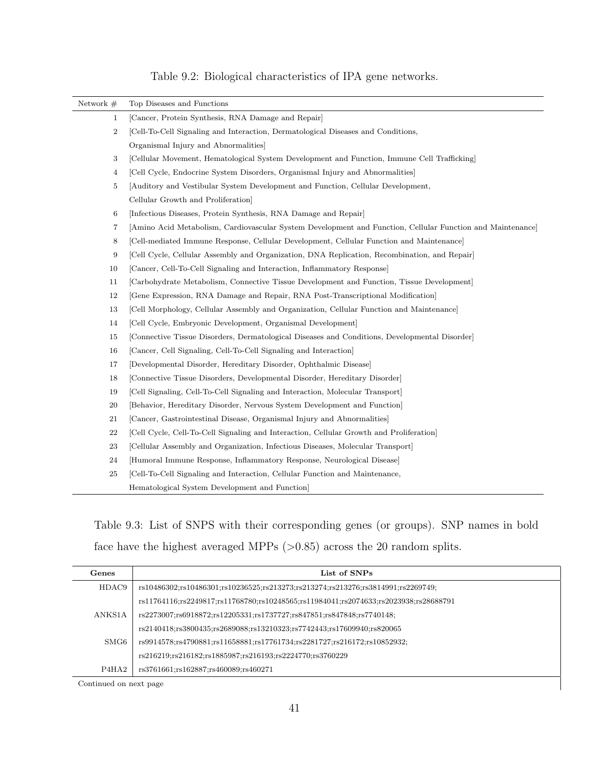| Network $#$      | Top Diseases and Functions                                                                                 |
|------------------|------------------------------------------------------------------------------------------------------------|
| $\mathbf{1}$     | [Cancer, Protein Synthesis, RNA Damage and Repair]                                                         |
| $\boldsymbol{2}$ | [Cell-To-Cell Signaling and Interaction, Dermatological Diseases and Conditions,                           |
|                  | Organismal Injury and Abnormalities]                                                                       |
| 3                | [Cellular Movement, Hematological System Development and Function, Immune Cell Trafficking]                |
| 4                | [Cell Cycle, Endocrine System Disorders, Organismal Injury and Abnormalities]                              |
| 5                | Auditory and Vestibular System Development and Function, Cellular Development,                             |
|                  | Cellular Growth and Proliferation                                                                          |
| 6                | [Infectious Diseases, Protein Synthesis, RNA Damage and Repair]                                            |
| 7                | [Amino Acid Metabolism, Cardiovascular System Development and Function, Cellular Function and Maintenance] |
| 8                | [Cell-mediated Immune Response, Cellular Development, Cellular Function and Maintenance]                   |
| 9                | [Cell Cycle, Cellular Assembly and Organization, DNA Replication, Recombination, and Repair]               |
| 10               | [Cancer, Cell-To-Cell Signaling and Interaction, Inflammatory Response]                                    |
| 11               | [Carbohydrate Metabolism, Connective Tissue Development and Function, Tissue Development]                  |
| 12               | [Gene Expression, RNA Damage and Repair, RNA Post-Transcriptional Modification]                            |
| 13               | [Cell Morphology, Cellular Assembly and Organization, Cellular Function and Maintenance]                   |
| 14               | [Cell Cycle, Embryonic Development, Organismal Development]                                                |
| 15               | [Connective Tissue Disorders, Dermatological Diseases and Conditions, Developmental Disorder]              |
| 16               | [Cancer, Cell Signaling, Cell-To-Cell Signaling and Interaction]                                           |
| 17               | [Developmental Disorder, Hereditary Disorder, Ophthalmic Disease]                                          |
| 18               | [Connective Tissue Disorders, Developmental Disorder, Hereditary Disorder]                                 |
| 19               | [Cell Signaling, Cell-To-Cell Signaling and Interaction, Molecular Transport]                              |
| 20               | [Behavior, Hereditary Disorder, Nervous System Development and Function]                                   |
| 21               | [Cancer, Gastrointestinal Disease, Organismal Injury and Abnormalities]                                    |
| 22               | [Cell Cycle, Cell-To-Cell Signaling and Interaction, Cellular Growth and Proliferation]                    |
| 23               | [Cellular Assembly and Organization, Infectious Diseases, Molecular Transport]                             |
| 24               | [Humoral Immune Response, Inflammatory Response, Neurological Disease]                                     |
| 25               | [Cell-To-Cell Signaling and Interaction, Cellular Function and Maintenance,                                |
|                  | Hematological System Development and Function                                                              |

## Table 9.2: Biological characteristics of IPA gene networks.

Table 9.3: List of SNPS with their corresponding genes (or groups). SNP names in bold face have the highest averaged MPPs  $(>0.85)$  across the 20 random splits.

| Genes                          | List of SNPs                                                                         |
|--------------------------------|--------------------------------------------------------------------------------------|
| HDAC9                          | rs10486302;rs10486301;rs10236525;rs213273;rs213274;rs213276;rs3814991;rs2269749;     |
|                                | rs11764116;rs2249817;rs11768780;rs10248565;rs11984041;rs2074633;rs2023938;rs28688791 |
| ANKS1A                         | rs2273007;rs6918872;rs12205331;rs1737727;rs847851;rs847848;rs7740148;                |
|                                | rs2140418;rs3800435;rs2689088;rs13210323;rs7742443;rs17609940;rs820065               |
| SMG <sub>6</sub>               | rs9914578;rs4790881;rs11658881;rs17761734;rs2281727;rs216172;rs10852932;             |
|                                | rs216219;rs216182;rs1885987;rs216193;rs2224770;rs3760229                             |
| P <sub>4</sub> H <sub>A2</sub> | rs3761661;rs162887;rs460089;rs460271                                                 |

Continued on next page

 $\overline{a}$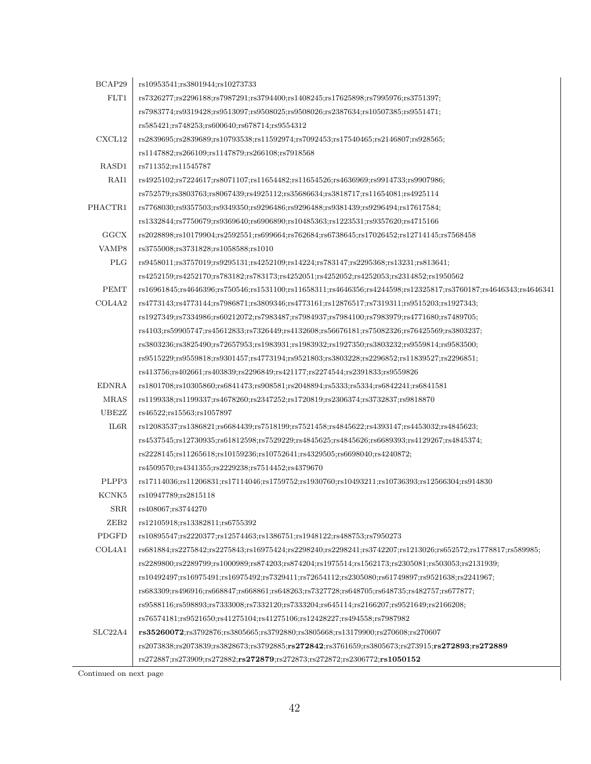| BCAP29           | rs10953541;rs3801944;rs10273733                                                                                           |
|------------------|---------------------------------------------------------------------------------------------------------------------------|
| FLT1             | rs7326277;rs2296188;rs7987291;rs3794400;rs1408245;rs17625898;rs7995976;rs3751397;                                         |
|                  | rs7983774;rs9319428;rs9513097;rs9508025;rs9508026;rs2387634;rs10507385;rs9551471;                                         |
|                  | rs585421;rs748253;rs600640;rs678714;rs9554312                                                                             |
| CXCL12           | rs2839695;rs2839689;rs10793538;rs11592974;rs7092453;rs17540465;rs2146807;rs928565;                                        |
|                  | rs1147882;rs266109;rs1147879;rs266108;rs7918568                                                                           |
| RASD1            | rs711352;rs11545787                                                                                                       |
| RAI1             | rs4925102;rs7224617;rs8071107;rs11654482;rs11654526;rs4636969;rs9914733;rs9907986;                                        |
|                  | rs752579;rs3803763;rs8067439;rs4925112;rs35686634;rs3818717;rs11654081;rs4925114                                          |
| PHACTR1          | rs7768030;rs9357503;rs9349350;rs9296486;rs9296488;rs9381439;rs9296494;rs17617584;                                         |
|                  | rs1332844;rs7750679;rs9369640;rs6906890;rs10485363;rs1223531;rs9357620;rs4715166                                          |
| GGCX             | rs2028898;rs10179904;rs2592551;rs699664;rs762684;rs6738645;rs17026452;rs12714145;rs7568458                                |
| VAMP8            | rs3755008;rs3731828;rs1058588;rs1010                                                                                      |
| PLG              | rs9458011;rs3757019;rs9295131;rs4252109;rs14224;rs783147;rs2295368;rs13231;rs813641;                                      |
|                  | rs4252159;rs4252170;rs783182;rs783173;rs4252051;rs4252052;rs4252053;rs2314852;rs1950562                                   |
| <b>PEMT</b>      | rs16961845;rs4646396;rs750546;rs1531100;rs11658311;rs4646356;rs4244598;rs12325817;rs3760187;rs4646343;rs4646341           |
| COL4A2           | rs4773143;rs4773144;rs7986871;rs3809346;rs4773161;rs12876517;rs7319311;rs9515203;rs1927343;                               |
|                  | rs1927349;rs7334986;rs60212072;rs7983487;rs7984937;rs7984100;rs7983979;rs4771680;rs7489705;                               |
|                  | rs4103;rs59905747;rs45612833;rs7326449;rs4132608;rs56676181;rs75082326;rs76425569;rs3803237;                              |
|                  | rs3803236;rs3825490;rs72657953;rs1983931;rs1983932;rs1927350;rs3803232;rs9559814;rs9583500;                               |
|                  | rs9515229;rs9559818;rs9301457;rs4773194;rs9521803;rs3803228;rs2296852;rs11839527;rs2296851;                               |
|                  | rs413756;rs402661;rs403839;rs2296849;rs421177;rs2274544;rs2391833;rs9559826                                               |
| <b>EDNRA</b>     | rs1801708;rs10305860;rs6841473;rs908581;rs2048894;rs5333;rs5334;rs6842241;rs6841581                                       |
| <b>MRAS</b>      | rs1199338;rs1199337;rs4678260;rs2347252;rs1720819;rs2306374;rs3732837;rs9818870                                           |
| UBE2Z            | rs46522;rs15563;rs1057897                                                                                                 |
| $_{\rm IL6R}$    | rs12083537;rs1386821;rs6684439;rs7518199;rs7521458;rs4845622;rs4393147;rs4453032;rs4845623;                               |
|                  | rs4537545;rs12730935;rs61812598;rs7529229;rs4845625;rs4845626;rs6689393;rs4129267;rs4845374;                              |
|                  | rs2228145;rs11265618;rs10159236;rs10752641;rs4329505;rs6698040;rs4240872;                                                 |
|                  | rs4509570;rs4341355;rs2229238;rs7514452;rs4379670                                                                         |
| PLPP3            | rs17114036;rs11206831;rs17114046;rs1759752;rs1930760;rs10493211;rs10736393;rs12566304;rs914830                            |
| KCNK5            | rs10947789;rs2815118                                                                                                      |
| ${\rm SRR}$      | rs408067;rs3744270                                                                                                        |
| ZEB <sub>2</sub> | rs12105918;rs13382811;rs6755392                                                                                           |
| PDGFD            | rs10895547;rs2220377;rs12574463;rs1386751;rs1948122;rs488753;rs7950273                                                    |
| COL4A1           | rs681884;rs2275842;rs2275843;rs16975424;rs2298240;rs2298241;rs3742207;rs1213026;rs652572;rs1778817;rs589985;              |
|                  | rs2289800;rs2289799;rs1000989;rs874203;rs874204;rs1975514;rs1562173;rs2305081;rs503053;rs2131939;                         |
|                  | rs10492497;rs16975491;rs16975492;rs7329411;rs72654112;rs2305080;rs61749897;rs9521638;rs2241967;                           |
|                  | rs683309;rs496916;rs668847;rs668861;rs648263;rs7327728;rs648705;rs648735;rs482757;rs677877;                               |
|                  | rs9588116:rs598893;rs7333008;rs7332120;rs7333204;rs645114;rs2166207;rs9521649;rs2166208;                                  |
|                  | rs76574181;rs9521650;rs41275104;rs41275106;rs12428227;rs494558;rs7987982                                                  |
| SLC22A4          | rs35260072;rs3792876;rs3805665;rs3792880;rs3805668;rs13179900;rs270608;rs270607                                           |
|                  | rs2073838;rs2073839;rs3828673;rs3792885; <b>rs272842</b> ;rs3761659;rs3805673;rs273915; <b>rs272893</b> ; <b>rs272889</b> |
|                  | $rs272887; rs273909; rs272882; rs272879; rs272873; rs272872; rs2306772; rs1050152$                                        |

Continued on next page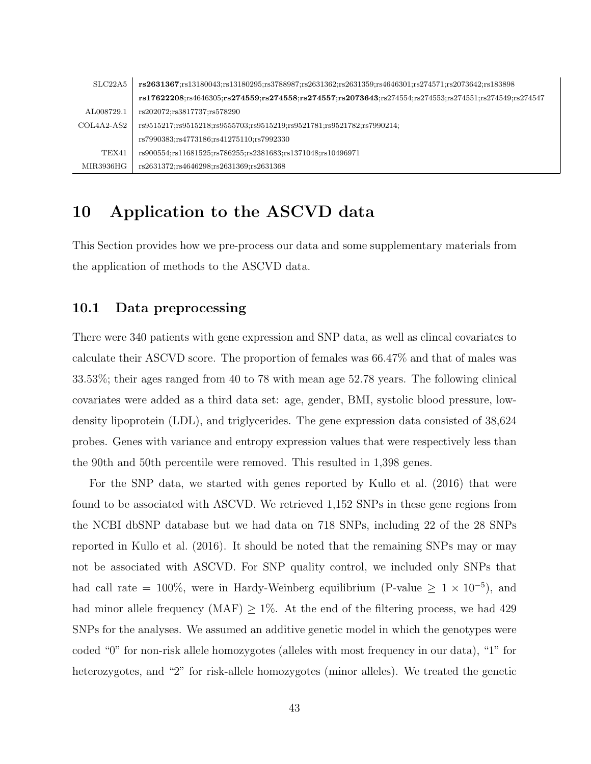| SLC22A5      | rs2631367;rs13180043;rs13180295;rs3788987;rs2631362;rs2631359;rs4646301;rs274571;rs2073642;rs183898                                              |
|--------------|--------------------------------------------------------------------------------------------------------------------------------------------------|
|              | $rs17622208$ ;rs $4646305$ ;rs $274559$ ;rs $274558$ ;rs $274557$ ;rs $2073643$ ;rs $274554$ ;rs $274553$ ;rs $274551$ ;rs $274549$ ;rs $274547$ |
| AL008729.1   | rs202072;rs3817737;rs578290                                                                                                                      |
| $COL4A2-AS2$ | rs9515217;rs9515218;rs9555703;rs9515219;rs9521781;rs9521782;rs7990214;                                                                           |
|              | rs7990383;rs4773186;rs41275110;rs7992330                                                                                                         |
| TEX41        | rs900554;rs11681525;rs786255;rs2381683;rs1371048;rs10496971                                                                                      |
| MIR3936HG    | rs2631372;rs4646298;rs2631369;rs2631368                                                                                                          |

## 10 Application to the ASCVD data

This Section provides how we pre-process our data and some supplementary materials from the application of methods to the ASCVD data.

#### 10.1 Data preprocessing

There were 340 patients with gene expression and SNP data, as well as clincal covariates to calculate their ASCVD score. The proportion of females was 66.47% and that of males was 33.53%; their ages ranged from 40 to 78 with mean age 52.78 years. The following clinical covariates were added as a third data set: age, gender, BMI, systolic blood pressure, lowdensity lipoprotein (LDL), and triglycerides. The gene expression data consisted of 38,624 probes. Genes with variance and entropy expression values that were respectively less than the 90th and 50th percentile were removed. This resulted in 1,398 genes.

For the SNP data, we started with genes reported by Kullo et al. (2016) that were found to be associated with ASCVD. We retrieved 1,152 SNPs in these gene regions from the NCBI dbSNP database but we had data on 718 SNPs, including 22 of the 28 SNPs reported in Kullo et al. (2016). It should be noted that the remaining SNPs may or may not be associated with ASCVD. For SNP quality control, we included only SNPs that had call rate = 100%, were in Hardy-Weinberg equilibrium (P-value  $\geq 1 \times 10^{-5}$ ), and had minor allele frequency (MAF)  $\geq$  1%. At the end of the filtering process, we had 429 SNPs for the analyses. We assumed an additive genetic model in which the genotypes were coded "0" for non-risk allele homozygotes (alleles with most frequency in our data), "1" for heterozygotes, and "2" for risk-allele homozygotes (minor alleles). We treated the genetic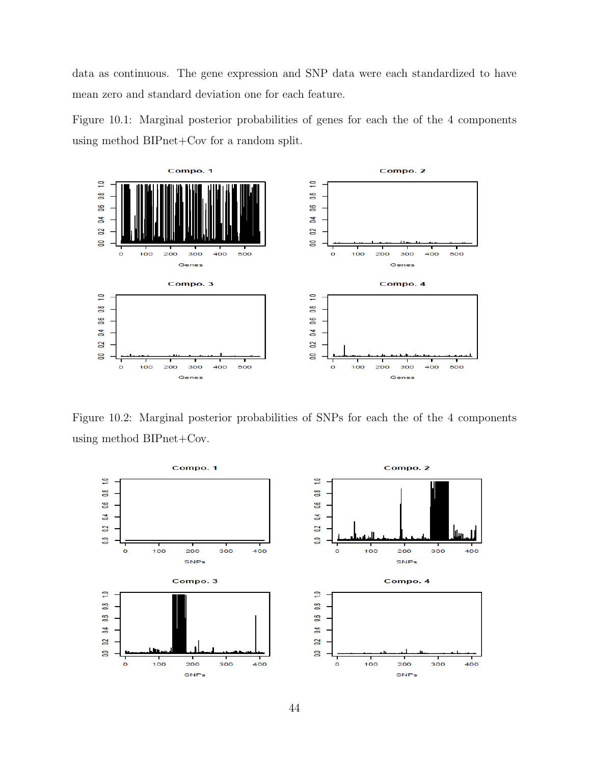data as continuous. The gene expression and SNP data were each standardized to have mean zero and standard deviation one for each feature.

Figure 10.1: Marginal posterior probabilities of genes for each the of the 4 components using method BIPnet+Cov for a random split.



Figure 10.2: Marginal posterior probabilities of SNPs for each the of the 4 components using method BIPnet+Cov.

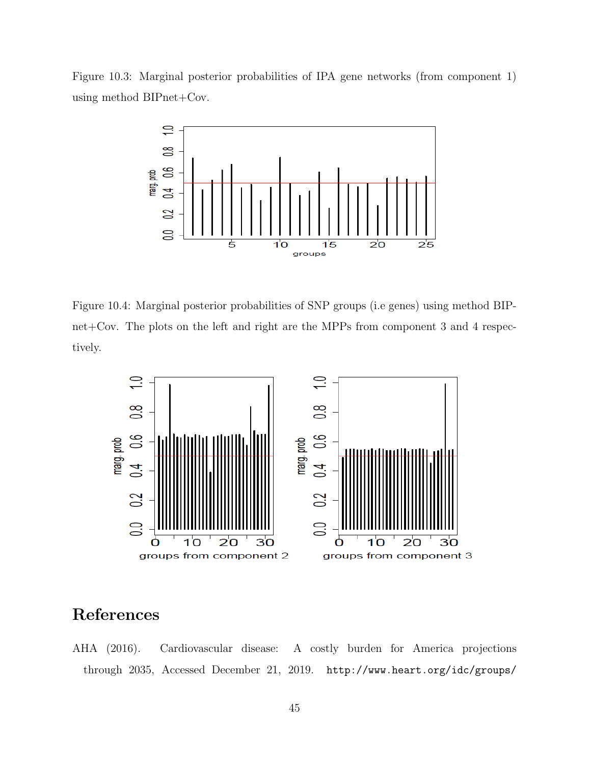Figure 10.3: Marginal posterior probabilities of IPA gene networks (from component 1) using method BIPnet+Cov.



Figure 10.4: Marginal posterior probabilities of SNP groups (i.e genes) using method BIPnet+Cov. The plots on the left and right are the MPPs from component 3 and 4 respectively.



## References

AHA (2016). Cardiovascular disease: A costly burden for America projections through 2035, Accessed December 21, 2019. http://www.heart.org/idc/groups/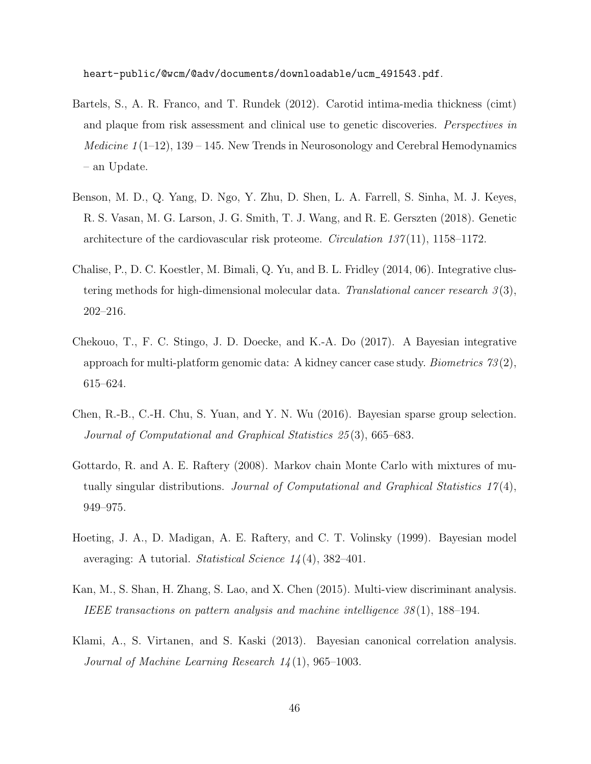heart-public/@wcm/@adv/documents/downloadable/ucm\_491543.pdf.

- Bartels, S., A. R. Franco, and T. Rundek (2012). Carotid intima-media thickness (cimt) and plaque from risk assessment and clinical use to genetic discoveries. *Perspectives in Medicine 1* (1–12), 139 – 145. New Trends in Neurosonology and Cerebral Hemodynamics – an Update.
- Benson, M. D., Q. Yang, D. Ngo, Y. Zhu, D. Shen, L. A. Farrell, S. Sinha, M. J. Keyes, R. S. Vasan, M. G. Larson, J. G. Smith, T. J. Wang, and R. E. Gerszten (2018). Genetic architecture of the cardiovascular risk proteome. *Circulation 137* $(11)$ , 1158–1172.
- Chalise, P., D. C. Koestler, M. Bimali, Q. Yu, and B. L. Fridley (2014, 06). Integrative clustering methods for high-dimensional molecular data. Translational cancer research  $3(3)$ , 202–216.
- Chekouo, T., F. C. Stingo, J. D. Doecke, and K.-A. Do (2017). A Bayesian integrative approach for multi-platform genomic data: A kidney cancer case study. *Biometrics*  $73(2)$ , 615–624.
- Chen, R.-B., C.-H. Chu, S. Yuan, and Y. N. Wu (2016). Bayesian sparse group selection. Journal of Computational and Graphical Statistics 25 (3), 665–683.
- Gottardo, R. and A. E. Raftery (2008). Markov chain Monte Carlo with mixtures of mutually singular distributions. Journal of Computational and Graphical Statistics  $17(4)$ , 949–975.
- Hoeting, J. A., D. Madigan, A. E. Raftery, and C. T. Volinsky (1999). Bayesian model averaging: A tutorial. Statistical Science 14 (4), 382–401.
- Kan, M., S. Shan, H. Zhang, S. Lao, and X. Chen (2015). Multi-view discriminant analysis. IEEE transactions on pattern analysis and machine intelligence 38 (1), 188–194.
- Klami, A., S. Virtanen, and S. Kaski (2013). Bayesian canonical correlation analysis. Journal of Machine Learning Research  $14(1)$ , 965–1003.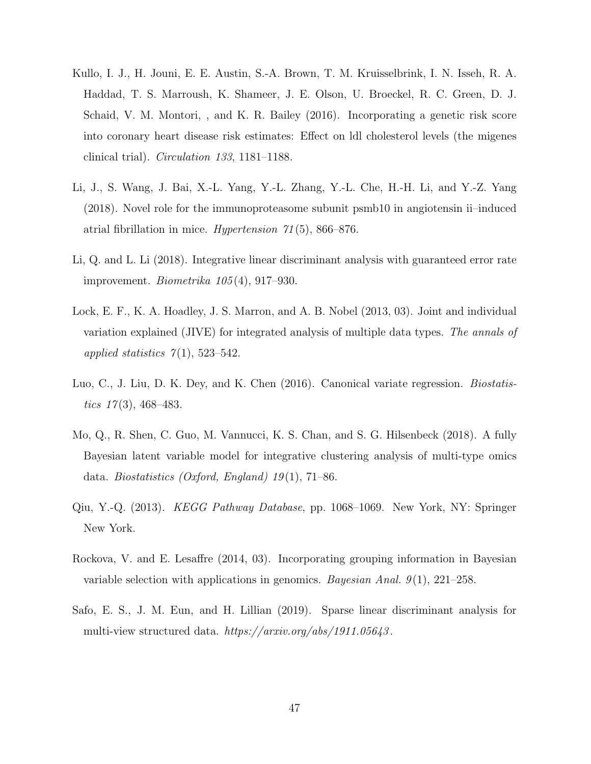- Kullo, I. J., H. Jouni, E. E. Austin, S.-A. Brown, T. M. Kruisselbrink, I. N. Isseh, R. A. Haddad, T. S. Marroush, K. Shameer, J. E. Olson, U. Broeckel, R. C. Green, D. J. Schaid, V. M. Montori, , and K. R. Bailey (2016). Incorporating a genetic risk score into coronary heart disease risk estimates: Effect on ldl cholesterol levels (the migenes clinical trial). Circulation 133, 1181–1188.
- Li, J., S. Wang, J. Bai, X.-L. Yang, Y.-L. Zhang, Y.-L. Che, H.-H. Li, and Y.-Z. Yang (2018). Novel role for the immunoproteasome subunit psmb10 in angiotensin ii–induced atrial fibrillation in mice. Hypertension 71 (5), 866–876.
- Li, Q. and L. Li (2018). Integrative linear discriminant analysis with guaranteed error rate improvement. Biometrika 105 (4), 917–930.
- Lock, E. F., K. A. Hoadley, J. S. Marron, and A. B. Nobel (2013, 03). Joint and individual variation explained (JIVE) for integrated analysis of multiple data types. The annals of applied statistics  $7(1)$ , 523–542.
- Luo, C., J. Liu, D. K. Dey, and K. Chen (2016). Canonical variate regression. *Biostatis*tics  $17(3)$ , 468-483.
- Mo, Q., R. Shen, C. Guo, M. Vannucci, K. S. Chan, and S. G. Hilsenbeck (2018). A fully Bayesian latent variable model for integrative clustering analysis of multi-type omics data. Biostatistics (Oxford, England)  $19(1)$ , 71–86.
- Qiu, Y.-Q. (2013). KEGG Pathway Database, pp. 1068–1069. New York, NY: Springer New York.
- Rockova, V. and E. Lesaffre (2014, 03). Incorporating grouping information in Bayesian variable selection with applications in genomics. Bayesian Anal.  $9(1)$ ,  $221-258$ .
- Safo, E. S., J. M. Eun, and H. Lillian (2019). Sparse linear discriminant analysis for multi-view structured data. https://arxiv.org/abs/1911.05643 .